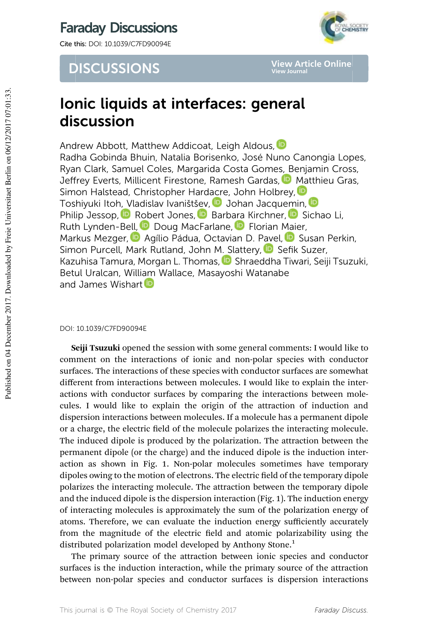Cite this: DOI: 10.1039/C7FD90094E

# **DISCUSSIONS**



**View Article Online View Journal**

# Ionic liquids at interfaces: general discussion

Andrew Abbott, Matthew Addicoat, Leigh Aldous, D Radha Gobinda Bhuin, Natalia Borisenko, José Nuno Canongia Lopes, Ryan Clark, Samuel Coles, Margarida Costa Gomes, Benjamin Cross, Jeffrey Everts, Millicent Firestone, Ramesh Gardas, D. Matthieu Gras, Simon Halstead, Christopher Hardacre, John Holbrey, D Toshiyuki Itoh, Vladislav Ivaništšev, DJohan Jacquemin, D Philip Jessop, **D** Robert Jones, **D** Barbara Kirchner, D Sichao Li, Ruth Lynden-Bell, D Doug MacFarlane, D Florian Maier, Markus Mezger, **D** Agílio Pádua, Octavian D. Pavel, D Susan Perkin, Simon Purcell, Mark Rutland, John M. Slattery, D Sefik Suzer, Kazuhisa Tamura, Morgan L. Thomas, D Shraeddha Tiwari, Seiji Tsuzuki, Betul Uralcan, William Wallace, Masayoshi Watanabe and James Wishart **D** 

# DOI: 10.1039/C7FD90094E

Seiji Tsuzuki opened the session with some general comments: I would like to comment on the interactions of ionic and non-polar species with conductor surfaces. The interactions of these species with conductor surfaces are somewhat different from interactions between molecules. I would like to explain the interactions with conductor surfaces by comparing the interactions between molecules. I would like to explain the origin of the attraction of induction and dispersion interactions between molecules. If a molecule has a permanent dipole or a charge, the electric field of the molecule polarizes the interacting molecule. The induced dipole is produced by the polarization. The attraction between the permanent dipole (or the charge) and the induced dipole is the induction interaction as shown in Fig. 1. Non-polar molecules sometimes have temporary dipoles owing to the motion of electrons. The electric field of the temporary dipole polarizes the interacting molecule. The attraction between the temporary dipole and the induced dipole is the dispersion interaction (Fig. 1). The induction energy of interacting molecules is approximately the sum of the polarization energy of atoms. Therefore, we can evaluate the induction energy sufficiently accurately from the magnitude of the electric field and atomic polarizability using the distributed polarization model developed by Anthony Stone.<sup>1</sup>

The primary source of the attraction between ionic species and conductor surfaces is the induction interaction, while the primary source of the attraction between non-polar species and conductor surfaces is dispersion interactions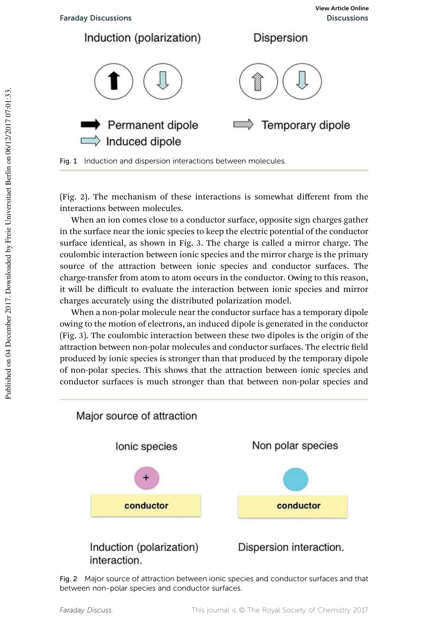

(Fig. 2). The mechanism of these interactions is somewhat different from the interactions between molecules.

When an ion comes close to a conductor surface, opposite sign charges gather in the surface near the ionic species to keep the electric potential of the conductor surface identical, as shown in Fig. 3. The charge is called a mirror charge. The coulombic interaction between ionic species and the mirror charge is the primary source of the attraction between ionic species and conductor surfaces. The charge-transfer from atom to atom occurs in the conductor. Owing to this reason, it will be difficult to evaluate the interaction between ionic species and mirror charges accurately using the distributed polarization model.

When a non-polar molecule near the conductor surface has a temporary dipole owing to the motion of electrons, an induced dipole is generated in the conductor (Fig. 3). The coulombic interaction between these two dipoles is the origin of the attraction between non-polar molecules and conductor surfaces. The electric field produced by ionic species is stronger than that produced by the temporary dipole of non-polar species. This shows that the attraction between ionic species and conductor surfaces is much stronger than that between non-polar species and



Fig. 2 Major source of attraction between ionic species and conductor surfaces and that between non-polar species and conductor surfaces.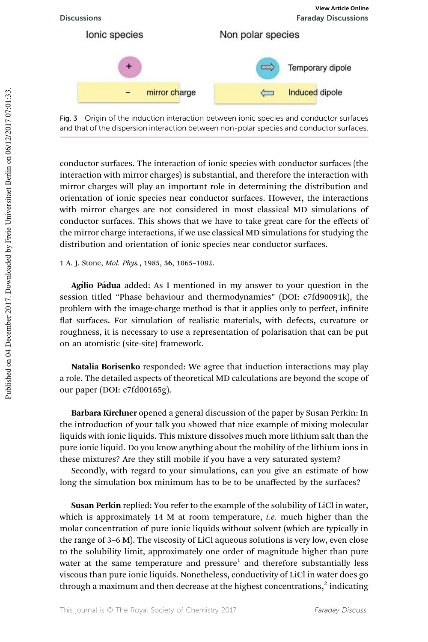



conductor surfaces. The interaction of ionic species with conductor surfaces (the interaction with mirror charges) is substantial, and therefore the interaction with mirror charges will play an important role in determining the distribution and orientation of ionic species near conductor surfaces. However, the interactions with mirror charges are not considered in most classical MD simulations of conductor surfaces. This shows that we have to take great care for the effects of the mirror charge interactions, if we use classical MD simulations for studying the distribution and orientation of ionic species near conductor surfaces.

1 A. J. Stone, *Mol. Phys.*, 1985, 56, 1065–1082.

Agílio Pádua added: As I mentioned in my answer to your question in the session titled "Phase behaviour and thermodynamics" (DOI: c7fd90091k), the problem with the image-charge method is that it applies only to perfect, infinite flat surfaces. For simulation of realistic materials, with defects, curvature or roughness, it is necessary to use a representation of polarisation that can be put on an atomistic (site-site) framework.

Natalia Borisenko responded: We agree that induction interactions may play a role. The detailed aspects of theoretical MD calculations are beyond the scope of our paper (DOI: c7fd00165g).

Barbara Kirchner opened a general discussion of the paper by Susan Perkin: In the introduction of your talk you showed that nice example of mixing molecular liquids with ionic liquids. This mixture dissolves much more lithium salt than the pure ionic liquid. Do you know anything about the mobility of the lithium ions in these mixtures? Are they still mobile if you have a very saturated system?

Secondly, with regard to your simulations, can you give an estimate of how long the simulation box minimum has to be to be unaffected by the surfaces?

Susan Perkin replied: You refer to the example of the solubility of LiCl in water, which is approximately 14 M at room temperature, *i.e.* much higher than the molar concentration of pure ionic liquids without solvent (which are typically in the range of 3–6 M). The viscosity of LiCl aqueous solutions is very low, even close to the solubility limit, approximately one order of magnitude higher than pure water at the same temperature and  $pressure<sup>1</sup>$  and therefore substantially less viscous than pure ionic liquids. Nonetheless, conductivity of LiCl in water does go through a maximum and then decrease at the highest concentrations, $^2$  indicating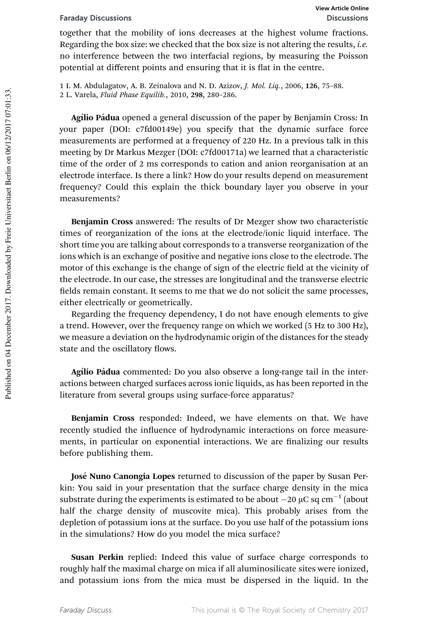together that the mobility of ions decreases at the highest volume fractions. Regarding the box size: we checked that the box size is not altering the results, *i.e.* no interference between the two interfacial regions, by measuring the Poisson potential at different points and ensuring that it is flat in the centre.

1 I. M. Abdulagatov, A. B. Zeinalova and N. D. Azizov, *J. Mol. Liq.*, 2006, 126, 75–88. 2 L. Varela, *Fluid Phase Equilib.*, 2010, 298, 280–286.

Agílio Pádua opened a general discussion of the paper by Benjamin Cross: In your paper (DOI: c7fd00149e) you specify that the dynamic surface force measurements are performed at a frequency of 220 Hz. In a previous talk in this meeting by Dr Markus Mezger (DOI: c7fd00171a) we learned that a characteristic time of the order of 2 ms corresponds to cation and anion reorganisation at an electrode interface. Is there a link? How do your results depend on measurement frequency? Could this explain the thick boundary layer you observe in your measurements?

Benjamin Cross answered: The results of Dr Mezger show two characteristic times of reorganization of the ions at the electrode/ionic liquid interface. The short time you are talking about corresponds to a transverse reorganization of the ions which is an exchange of positive and negative ions close to the electrode. The motor of this exchange is the change of sign of the electric field at the vicinity of the electrode. In our case, the stresses are longitudinal and the transverse electric fields remain constant. It seems to me that we do not solicit the same processes, either electrically or geometrically.

Regarding the frequency dependency, I do not have enough elements to give a trend. However, over the frequency range on which we worked (5 Hz to 300 Hz), we measure a deviation on the hydrodynamic origin of the distances for the steady state and the oscillatory flows.

Agílio Pádua commented: Do you also observe a long-range tail in the interactions between charged surfaces across ionic liquids, as has been reported in the literature from several groups using surface-force apparatus?

Benjamin Cross responded: Indeed, we have elements on that. We have recently studied the influence of hydrodynamic interactions on force measurements, in particular on exponential interactions. We are finalizing our results before publishing them.

José Nuno Canongia Lopes returned to discussion of the paper by Susan Perkin: You said in your presentation that the surface charge density in the mica substrate during the experiments is estimated to be about  $-20 \mu C$  sq cm<sup>-1</sup> (about half the charge density of muscovite mica). This probably arises from the depletion of potassium ions at the surface. Do you use half of the potassium ions in the simulations? How do you model the mica surface?

Susan Perkin replied: Indeed this value of surface charge corresponds to roughly half the maximal charge on mica if all aluminosilicate sites were ionized, and potassium ions from the mica must be dispersed in the liquid. In the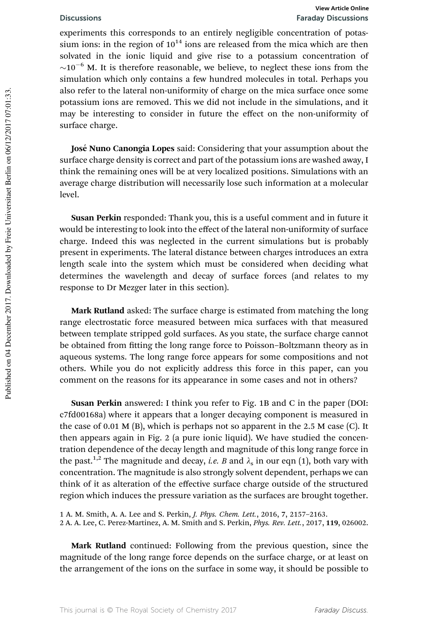experiments this corresponds to an entirely negligible concentration of potassium ions: in the region of  $10^{14}$  ions are released from the mica which are then solvated in the ionic liquid and give rise to a potassium concentration of  $\sim$ 10<sup>-6</sup> M. It is therefore reasonable, we believe, to neglect these ions from the simulation which only contains a few hundred molecules in total. Perhaps you also refer to the lateral non-uniformity of charge on the mica surface once some potassium ions are removed. This we did not include in the simulations, and it may be interesting to consider in future the effect on the non-uniformity of surface charge.

José Nuno Canongia Lopes said: Considering that your assumption about the surface charge density is correct and part of the potassium ions are washed away, I think the remaining ones will be at very localized positions. Simulations with an average charge distribution will necessarily lose such information at a molecular level.

Susan Perkin responded: Thank you, this is a useful comment and in future it would be interesting to look into the effect of the lateral non-uniformity of surface charge. Indeed this was neglected in the current simulations but is probably present in experiments. The lateral distance between charges introduces an extra length scale into the system which must be considered when deciding what determines the wavelength and decay of surface forces (and relates to my response to Dr Mezger later in this section).

Mark Rutland asked: The surface charge is estimated from matching the long range electrostatic force measured between mica surfaces with that measured between template stripped gold surfaces. As you state, the surface charge cannot be obtained from fitting the long range force to Poisson-Boltzmann theory as in aqueous systems. The long range force appears for some compositions and not others. While you do not explicitly address this force in this paper, can you comment on the reasons for its appearance in some cases and not in others?

Susan Perkin answered: I think you refer to Fig. 1B and C in the paper (DOI: c7fd00168a) where it appears that a longer decaying component is measured in the case of 0.01 M (B), which is perhaps not so apparent in the 2.5 M case (C). It then appears again in Fig. 2 (a pure ionic liquid). We have studied the concentration dependence of the decay length and magnitude of this long range force in the past.<sup>1,2</sup> The magnitude and decay, *i.e. B* and  $\lambda_s$  in our eqn (1), both vary with concentration. The magnitude is also strongly solvent dependent, perhaps we can think of it as alteration of the effective surface charge outside of the structured region which induces the pressure variation as the surfaces are brought together.

1 A. M. Smith, A. A. Lee and S. Perkin, *J. Phys. Chem. Lett.*, 2016, 7, 2157–2163. 2 A. A. Lee, C. Perez-Martinez, A. M. Smith and S. Perkin, *Phys. Rev. Lett.*, 2017, 119, 026002.

Mark Rutland continued: Following from the previous question, since the magnitude of the long range force depends on the surface charge, or at least on the arrangement of the ions on the surface in some way, it should be possible to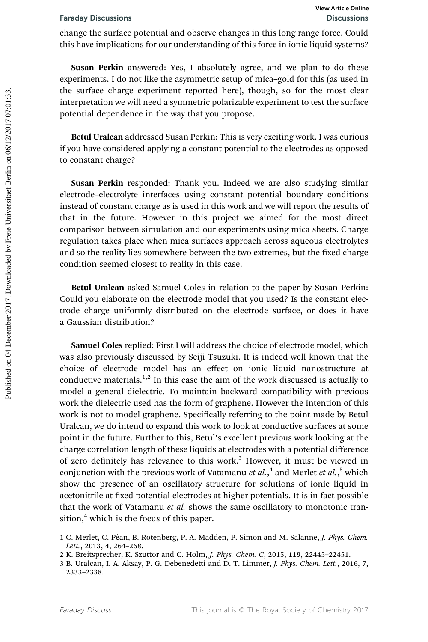change the surface potential and observe changes in this long range force. Could this have implications for our understanding of this force in ionic liquid systems?

Susan Perkin answered: Yes, I absolutely agree, and we plan to do these experiments. I do not like the asymmetric setup of mica–gold for this (as used in the surface charge experiment reported here), though, so for the most clear interpretation we will need a symmetric polarizable experiment to test the surface potential dependence in the way that you propose.

Betul Uralcan addressed Susan Perkin: This is very exciting work. I was curious if you have considered applying a constant potential to the electrodes as opposed to constant charge?

Susan Perkin responded: Thank you. Indeed we are also studying similar electrode–electrolyte interfaces using constant potential boundary conditions instead of constant charge as is used in this work and we will report the results of that in the future. However in this project we aimed for the most direct comparison between simulation and our experiments using mica sheets. Charge regulation takes place when mica surfaces approach across aqueous electrolytes and so the reality lies somewhere between the two extremes, but the fixed charge condition seemed closest to reality in this case.

Betul Uralcan asked Samuel Coles in relation to the paper by Susan Perkin: Could you elaborate on the electrode model that you used? Is the constant electrode charge uniformly distributed on the electrode surface, or does it have a Gaussian distribution?

Samuel Coles replied: First I will address the choice of electrode model, which was also previously discussed by Seiji Tsuzuki. It is indeed well known that the choice of electrode model has an effect on ionic liquid nanostructure at conductive materials.<sup>1,2</sup> In this case the aim of the work discussed is actually to model a general dielectric. To maintain backward compatibility with previous work the dielectric used has the form of graphene. However the intention of this work is not to model graphene. Specifically referring to the point made by Betul Uralcan, we do intend to expand this work to look at conductive surfaces at some point in the future. Further to this, Betul's excellent previous work looking at the charge correlation length of these liquids at electrodes with a potential difference of zero definitely has relevance to this work.<sup>3</sup> However, it must be viewed in conjunction with the previous work of Vatamanu *et al.*, 4 and Merlet *et al.*, <sup>5</sup> which show the presence of an oscillatory structure for solutions of ionic liquid in acetonitrile at fixed potential electrodes at higher potentials. It is in fact possible that the work of Vatamanu *et al.* shows the same oscillatory to monotonic transition, $4$  which is the focus of this paper.

<sup>1</sup> C. Merlet, C. Péan, B. Rotenberg, P. A. Madden, P. Simon and M. Salanne, *J. Phys. Chem. Lett.*, 2013, 4, 264–268.

<sup>2</sup> K. Breitsprecher, K. Szuttor and C. Holm, *J. Phys. Chem. C*, 2015, 119, 22445–22451.

<sup>3</sup> B. Uralcan, I. A. Aksay, P. G. Debenedetti and D. T. Limmer, *J. Phys. Chem. Lett.*, 2016, 7, 2333–2338.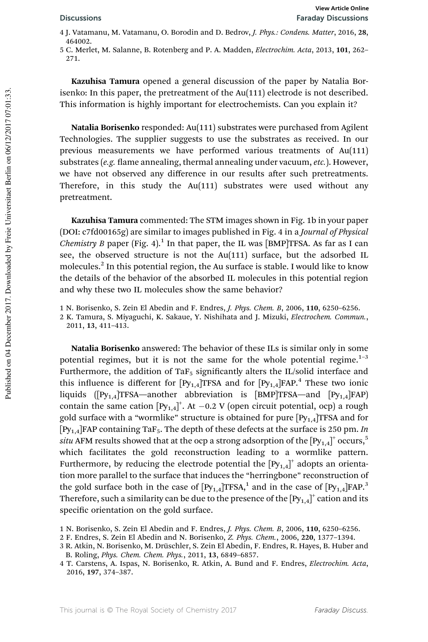- 4 J. Vatamanu, M. Vatamanu, O. Borodin and D. Bedrov, *J. Phys.: Condens. Matter*, 2016, 28, 464002
- 5 C. Merlet, M. Salanne, B. Rotenberg and P. A. Madden, *Electrochim. Acta*, 2013, 101, 262– 271.

Kazuhisa Tamura opened a general discussion of the paper by Natalia Borisenko: In this paper, the pretreatment of the Au(111) electrode is not described. This information is highly important for electrochemists. Can you explain it?

Natalia Borisenko responded: Au(111) substrates were purchased from Agilent Technologies. The supplier suggests to use the substrates as received. In our previous measurements we have performed various treatments of Au(111) substrates (e.g. flame annealing, thermal annealing under vacuum, etc.). However, we have not observed any difference in our results after such pretreatments. Therefore, in this study the Au(111) substrates were used without any pretreatment.

Kazuhisa Tamura commented: The STM images shown in Fig. 1b in your paper (DOI: c7fd00165g) are similar to images published in Fig. 4 in a *Journal of Physical Chemistry B* paper (Fig. 4).<sup>1</sup> In that paper, the IL was [BMP]TFSA. As far as I can see, the observed structure is not the Au(111) surface, but the adsorbed IL molecules.<sup>2</sup> In this potential region, the Au surface is stable. I would like to know the details of the behavior of the absorbed IL molecules in this potential region and why these two IL molecules show the same behavior?

Natalia Borisenko answered: The behavior of these ILs is similar only in some potential regimes, but it is not the same for the whole potential regime. $1-3$ Furthermore, the addition of Ta $F_5$  significantly alters the IL/solid interface and this influence is different for  $[Py_{1,4}]$ TFSA and for  $[Py_{1,4}]$ FAP.<sup>4</sup> These two ionic liquids  $([Py<sub>1.4</sub>]TFSA—another abbreviation is [BMP]TFSA—and [Py<sub>1.4</sub>]FAP)$ contain the same cation  $[Py_{1,4}]^+$ . At  $-0.2$  V (open circuit potential, ocp) a rough gold surface with a "wormlike" structure is obtained for pure  $[Py_{1,4}]$ TFSA and for [Py1,4]FAP containing TaF5. The depth of these defects at the surface is 250 pm. *In*  $\textit{situ}$  AFM results showed that at the ocp a strong adsorption of the  $[\text{Py}_{1,4}]^+$  occurs, $^5$ which facilitates the gold reconstruction leading to a wormlike pattern. Furthermore, by reducing the electrode potential the  $[Py_{1,4}]^+$  adopts an orientation more parallel to the surface that induces the "herringbone" reconstruction of the gold surface both in the case of  $[Py_{1,4}]$ TFSA,<sup>1</sup> and in the case of  $[Py_{1,4}]$ FAP.<sup>3</sup> Therefore, such a similarity can be due to the presence of the  $\mathrm{[Py_{1,4}]}^+$  cation and its specific orientation on the gold surface.

<sup>1</sup> N. Borisenko, S. Zein El Abedin and F. Endres, *J. Phys. Chem. B*, 2006, 110, 6250–6256.

<sup>2</sup> K. Tamura, S. Miyaguchi, K. Sakaue, Y. Nishihata and J. Mizuki, *Electrochem. Commun.*, 2011, 13, 411–413.

<sup>1</sup> N. Borisenko, S. Zein El Abedin and F. Endres, *J. Phys. Chem. B*, 2006, 110, 6250–6256.

<sup>2</sup> F. Endres, S. Zein El Abedin and N. Borisenko, *Z. Phys. Chem.*, 2006, 220, 1377–1394.

<sup>3</sup> R. Atkin, N. Borisenko, M. Drüschler, S. Zein El Abedin, F. Endres, R. Hayes, B. Huber and B. Roling, *Phys. Chem. Chem. Phys.*, 2011, 13, 6849–6857.

<sup>4</sup> T. Carstens, A. Ispas, N. Borisenko, R. Atkin, A. Bund and F. Endres, *Electrochim. Acta*, 2016, 197, 374–387.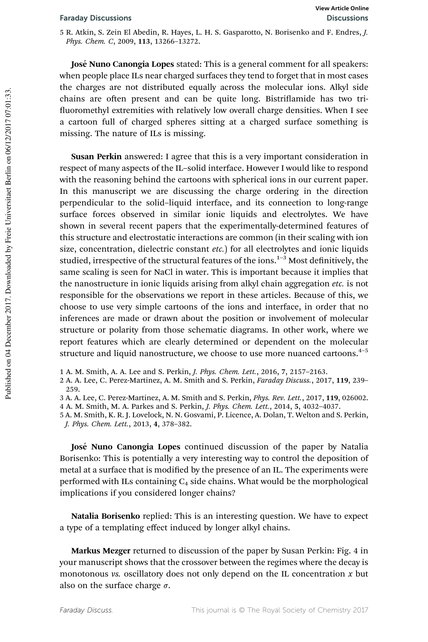5 R. Atkin, S. Zein El Abedin, R. Hayes, L. H. S. Gasparotto, N. Borisenko and F. Endres, *J. Phys. Chem. C*, 2009, 113, 13266–13272.

José Nuno Canongia Lopes stated: This is a general comment for all speakers: when people place ILs near charged surfaces they tend to forget that in most cases the charges are not distributed equally across the molecular ions. Alkyl side chains are often present and can be quite long. Bistriflamide has two trifluoromethyl extremities with relatively low overall charge densities. When I see a cartoon full of charged spheres sitting at a charged surface something is missing. The nature of ILs is missing.

Susan Perkin answered: I agree that this is a very important consideration in respect of many aspects of the IL–solid interface. However I would like to respond with the reasoning behind the cartoons with spherical ions in our current paper. In this manuscript we are discussing the charge ordering in the direction perpendicular to the solid–liquid interface, and its connection to long-range surface forces observed in similar ionic liquids and electrolytes. We have shown in several recent papers that the experimentally-determined features of this structure and electrostatic interactions are common (in their scaling with ion size, concentration, dielectric constant *etc.*) for all electrolytes and ionic liquids studied, irrespective of the structural features of the ions.<sup>1-3</sup> Most definitively, the same scaling is seen for NaCl in water. This is important because it implies that the nanostructure in ionic liquids arising from alkyl chain aggregation *etc.* is not responsible for the observations we report in these articles. Because of this, we choose to use very simple cartoons of the ions and interface, in order that no inferences are made or drawn about the position or involvement of molecular structure or polarity from those schematic diagrams. In other work, where we report features which are clearly determined or dependent on the molecular structure and liquid nanostructure, we choose to use more nuanced cartoons.<sup>4-5</sup>

1 A. M. Smith, A. A. Lee and S. Perkin, *J. Phys. Chem. Lett.*, 2016, 7, 2157–2163.

2 A. A. Lee, C. Perez-Martinez, A. M. Smith and S. Perkin, *Faraday Discuss.*, 2017, 119, 239– 259.

3 A. A. Lee, C. Perez-Martinez, A. M. Smith and S. Perkin, *Phys. Rev. Lett.*, 2017, 119, 026002.

José Nuno Canongia Lopes continued discussion of the paper by Natalia Borisenko: This is potentially a very interesting way to control the deposition of metal at a surface that is modified by the presence of an IL. The experiments were performed with ILs containing  $C_4$  side chains. What would be the morphological implications if you considered longer chains?

Natalia Borisenko replied: This is an interesting question. We have to expect a type of a templating effect induced by longer alkyl chains.

Markus Mezger returned to discussion of the paper by Susan Perkin: Fig. 4 in your manuscript shows that the crossover between the regimes where the decay is monotonous *vs.* oscillatory does not only depend on the IL concentration *x* but also on the surface charge  $\sigma$ .

<sup>4</sup> A. M. Smith, M. A. Parkes and S. Perkin, *J. Phys. Chem. Lett.*, 2014, 5, 4032–4037.

<sup>5</sup> A. M. Smith, K. R. J. Lovelock, N. N. Gosvami, P. Licence, A. Dolan, T. Welton and S. Perkin, *J. Phys. Chem. Lett.*, 2013, 4, 378–382.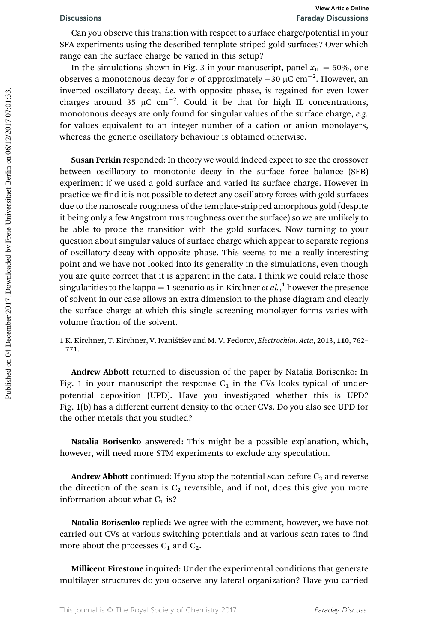Can you observe this transition with respect to surface charge/potential in your SFA experiments using the described template striped gold surfaces? Over which range can the surface charge be varied in this setup?

In the simulations shown in Fig. 3 in your manuscript, panel  $x_{\text{IL}} = 50\%$ , one observes a monotonous decay for  $\sigma$  of approximately  $-30 \mu C \text{ cm}^{-2}$ . However, an inverted oscillatory decay, *i.e.* with opposite phase, is regained for even lower charges around 35  $\mu$ C cm<sup>-2</sup>. Could it be that for high IL concentrations, monotonous decays are only found for singular values of the surface charge, *e.g.* for values equivalent to an integer number of a cation or anion monolayers, whereas the generic oscillatory behaviour is obtained otherwise.

Susan Perkin responded: In theory we would indeed expect to see the crossover between oscillatory to monotonic decay in the surface force balance (SFB) experiment if we used a gold surface and varied its surface charge. However in practice we find it is not possible to detect any oscillatory forces with gold surfaces due to the nanoscale roughness of the template-stripped amorphous gold (despite it being only a few Angstrom rms roughness over the surface) so we are unlikely to be able to probe the transition with the gold surfaces. Now turning to your question about singular values of surface charge which appear to separate regions of oscillatory decay with opposite phase. This seems to me a really interesting point and we have not looked into its generality in the simulations, even though you are quite correct that it is apparent in the data. I think we could relate those singularities to the kappa = 1 scenario as in Kirchner *et al*.<sup>1</sup>, however the presence of solvent in our case allows an extra dimension to the phase diagram and clearly the surface charge at which this single screening monolayer forms varies with volume fraction of the solvent.

1 K. Kirchner, T. Kirchner, V. Ivaništšev and M. V. Fedorov, *Electrochim. Acta*, 2013, 110, 762-771.

Andrew Abbott returned to discussion of the paper by Natalia Borisenko: In Fig. 1 in your manuscript the response  $C_1$  in the CVs looks typical of underpotential deposition (UPD). Have you investigated whether this is UPD? Fig. 1(b) has a different current density to the other CVs. Do you also see UPD for the other metals that you studied?

Natalia Borisenko answered: This might be a possible explanation, which, however, will need more STM experiments to exclude any speculation.

**Andrew Abbott** continued: If you stop the potential scan before  $C_2$  and reverse the direction of the scan is  $C_2$  reversible, and if not, does this give you more information about what  $C_1$  is?

Natalia Borisenko replied: We agree with the comment, however, we have not carried out CVs at various switching potentials and at various scan rates to find more about the processes  $C_1$  and  $C_2$ .

Millicent Firestone inquired: Under the experimental conditions that generate multilayer structures do you observe any lateral organization? Have you carried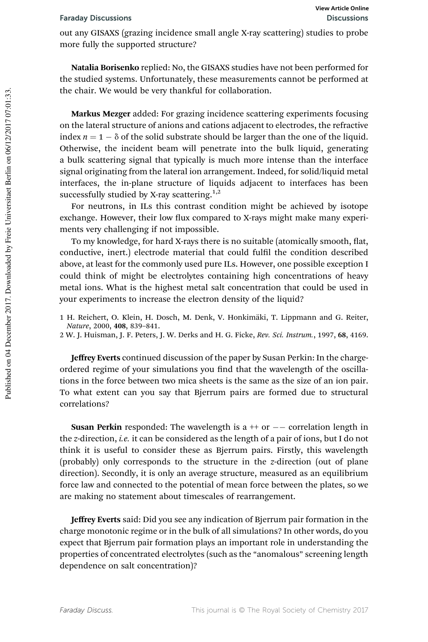out any GISAXS (grazing incidence small angle X-ray scattering) studies to probe more fully the supported structure?

Natalia Borisenko replied: No, the GISAXS studies have not been performed for the studied systems. Unfortunately, these measurements cannot be performed at the chair. We would be very thankful for collaboration.

Markus Mezger added: For grazing incidence scattering experiments focusing on the lateral structure of anions and cations adjacent to electrodes, the refractive index  $n = 1 - \delta$  of the solid substrate should be larger than the one of the liquid. Otherwise, the incident beam will penetrate into the bulk liquid, generating a bulk scattering signal that typically is much more intense than the interface signal originating from the lateral ion arrangement. Indeed, for solid/liquid metal interfaces, the in-plane structure of liquids adjacent to interfaces has been successfully studied by X-ray scattering. $1,2$ 

For neutrons, in ILs this contrast condition might be achieved by isotope exchange. However, their low flux compared to X-rays might make many experiments very challenging if not impossible.

To my knowledge, for hard X-rays there is no suitable (atomically smooth, flat, conductive, inert.) electrode material that could fulfil the condition described above, at least for the commonly used pure ILs. However, one possible exception I could think of might be electrolytes containing high concentrations of heavy metal ions. What is the highest metal salt concentration that could be used in your experiments to increase the electron density of the liquid?

- 1 H. Reichert, O. Klein, H. Dosch, M. Denk, V. Honkimäki, T. Lippmann and G. Reiter, *Nature*, 2000, 408, 839–841.
- 2 W. J. Huisman, J. F. Peters, J. W. Derks and H. G. Ficke, *Rev. Sci. Instrum.*, 1997, 68, 4169.

Jeffrey Everts continued discussion of the paper by Susan Perkin: In the chargeordered regime of your simulations you find that the wavelength of the oscillations in the force between two mica sheets is the same as the size of an ion pair. To what extent can you say that Bjerrum pairs are formed due to structural correlations?

**Susan Perkin** responded: The wavelength is a  $++$  or  $--$  correlation length in the *z*-direction, *i.e.* it can be considered as the length of a pair of ions, but I do not think it is useful to consider these as Bjerrum pairs. Firstly, this wavelength (probably) only corresponds to the structure in the *z*-direction (out of plane direction). Secondly, it is only an average structure, measured as an equilibrium force law and connected to the potential of mean force between the plates, so we are making no statement about timescales of rearrangement.

Jeffrey Everts said: Did you see any indication of Bjerrum pair formation in the charge monotonic regime or in the bulk of all simulations? In other words, do you expect that Bjerrum pair formation plays an important role in understanding the properties of concentrated electrolytes (such as the "anomalous" screening length dependence on salt concentration)?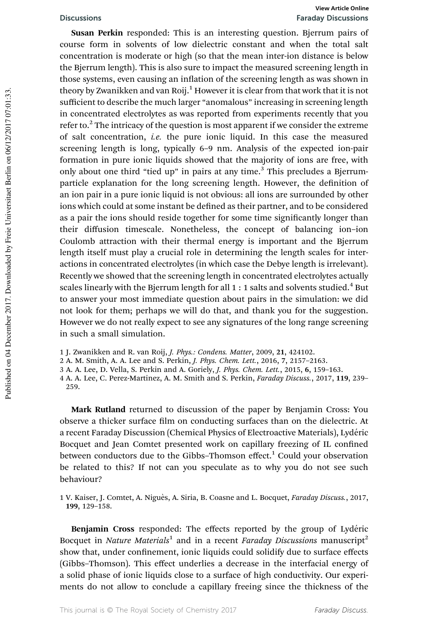# Discussions Faraday Discussions **View Article Online**

Susan Perkin responded: This is an interesting question. Bjerrum pairs of course form in solvents of low dielectric constant and when the total salt concentration is moderate or high (so that the mean inter-ion distance is below the Bjerrum length). This is also sure to impact the measured screening length in those systems, even causing an inflation of the screening length as was shown in theory by Zwanikken and van Roij.<sup>1</sup> However it is clear from that work that it is not sufficient to describe the much larger "anomalous" increasing in screening length in concentrated electrolytes as was reported from experiments recently that you refer to. $^{2}$  The intricacy of the question is most apparent if we consider the extreme of salt concentration, *i.e.* the pure ionic liquid. In this case the measured screening length is long, typically 6–9 nm. Analysis of the expected ion-pair formation in pure ionic liquids showed that the majority of ions are free, with only about one third "tied up" in pairs at any time. $3$  This precludes a Bjerrumparticle explanation for the long screening length. However, the definition of an ion pair in a pure ionic liquid is not obvious: all ions are surrounded by other ions which could at some instant be defined as their partner, and to be considered as a pair the ions should reside together for some time significantly longer than their diffusion timescale. Nonetheless, the concept of balancing ion–ion Coulomb attraction with their thermal energy is important and the Bjerrum length itself must play a crucial role in determining the length scales for interactions in concentrated electrolytes (in which case the Debye length is irrelevant). Recently we showed that the screening length in concentrated electrolytes actually scales linearly with the Bjerrum length for all  $1:1$  salts and solvents studied. $^4$  But to answer your most immediate question about pairs in the simulation: we did not look for them; perhaps we will do that, and thank you for the suggestion. However we do not really expect to see any signatures of the long range screening in such a small simulation.

1 J. Zwanikken and R. van Roij, *J. Phys.: Condens. Matter*, 2009, 21, 424102.

2 A. M. Smith, A. A. Lee and S. Perkin, *J. Phys. Chem. Lett.*, 2016, 7, 2157–2163.

3 A. A. Lee, D. Vella, S. Perkin and A. Goriely, *J. Phys. Chem. Lett.*, 2015, 6, 159–163.

4 A. A. Lee, C. Perez-Martinez, A. M. Smith and S. Perkin, *Faraday Discuss.*, 2017, 119, 239– 259.

Mark Rutland returned to discussion of the paper by Benjamin Cross: You observe a thicker surface film on conducting surfaces than on the dielectric. At a recent Faraday Discussion (Chemical Physics of Electroactive Materials), Lydéric Bocquet and Jean Comtet presented work on capillary freezing of IL confined between conductors due to the Gibbs–Thomson effect.<sup>1</sup> Could your observation be related to this? If not can you speculate as to why you do not see such behaviour?

1 V. Kaiser, J. Comtet, A. Nigu`es, A. Siria, B. Coasne and L. Bocquet, *Faraday Discuss.*, 2017, 199, 129–158.

Benjamin Cross responded: The effects reported by the group of Lydéric Bocquet in *Nature Materials*<sup>1</sup> and in a recent *Faraday Discussions* manuscript<sup>2</sup> show that, under confinement, ionic liquids could solidify due to surface effects (Gibbs–Thomson). This effect underlies a decrease in the interfacial energy of a solid phase of ionic liquids close to a surface of high conductivity. Our experiments do not allow to conclude a capillary freeing since the thickness of the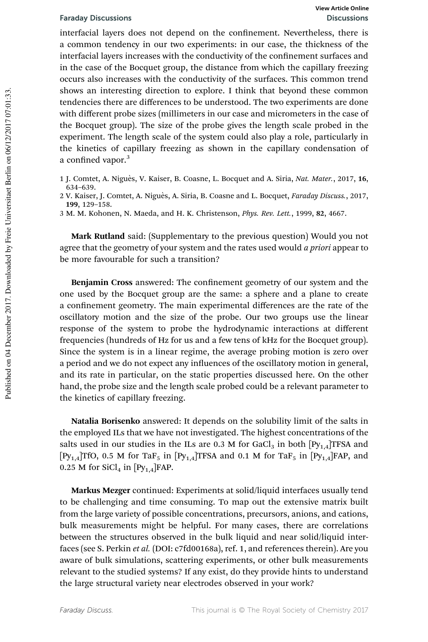interfacial layers does not depend on the confinement. Nevertheless, there is a common tendency in our two experiments: in our case, the thickness of the interfacial layers increases with the conductivity of the confinement surfaces and in the case of the Bocquet group, the distance from which the capillary freezing occurs also increases with the conductivity of the surfaces. This common trend shows an interesting direction to explore. I think that beyond these common tendencies there are differences to be understood. The two experiments are done with different probe sizes (millimeters in our case and micrometers in the case of the Bocquet group). The size of the probe gives the length scale probed in the experiment. The length scale of the system could also play a role, particularly in the kinetics of capillary freezing as shown in the capillary condensation of a confined vapor.<sup>3</sup>

- 1 J. Comtet, A. Niguès, V. Kaiser, B. Coasne, L. Bocquet and A. Siria, *Nat. Mater.*, 2017, 16, 634–639.
- 2 V. Kaiser, J. Comtet, A. Nigu`es, A. Siria, B. Coasne and L. Bocquet, *Faraday Discuss.*, 2017, 199, 129–158.
- 3 M. M. Kohonen, N. Maeda, and H. K. Christenson, *Phys. Rev. Lett.*, 1999, 82, 4667.

Mark Rutland said: (Supplementary to the previous question) Would you not agree that the geometry of your system and the rates used would *a priori* appear to be more favourable for such a transition?

Benjamin Cross answered: The confinement geometry of our system and the one used by the Bocquet group are the same: a sphere and a plane to create a confinement geometry. The main experimental differences are the rate of the oscillatory motion and the size of the probe. Our two groups use the linear response of the system to probe the hydrodynamic interactions at different frequencies (hundreds of Hz for us and a few tens of kHz for the Bocquet group). Since the system is in a linear regime, the average probing motion is zero over a period and we do not expect any influences of the oscillatory motion in general, and its rate in particular, on the static properties discussed here. On the other hand, the probe size and the length scale probed could be a relevant parameter to the kinetics of capillary freezing.

Natalia Borisenko answered: It depends on the solubility limit of the salts in the employed ILs that we have not investigated. The highest concentrations of the salts used in our studies in the ILs are 0.3 M for GaCl<sub>3</sub> in both  $[Py_{1,4}]$ TFSA and  $[P_{y_{1,4}}]$ TfO, 0.5 M for TaF<sub>5</sub> in  $[P_{y_{1,4}}]$ TFSA and 0.1 M for TaF<sub>5</sub> in  $[P_{y_{1,4}}]$ FAP, and 0.25 M for SiCl<sub>4</sub> in  $[Py<sub>1.4</sub>]FAP$ .

Markus Mezger continued: Experiments at solid/liquid interfaces usually tend to be challenging and time consuming. To map out the extensive matrix built from the large variety of possible concentrations, precursors, anions, and cations, bulk measurements might be helpful. For many cases, there are correlations between the structures observed in the bulk liquid and near solid/liquid interfaces (see S. Perkin *et al.* (DOI: c7fd00168a), ref. 1, and references therein). Are you aware of bulk simulations, scattering experiments, or other bulk measurements relevant to the studied systems? If any exist, do they provide hints to understand the large structural variety near electrodes observed in your work?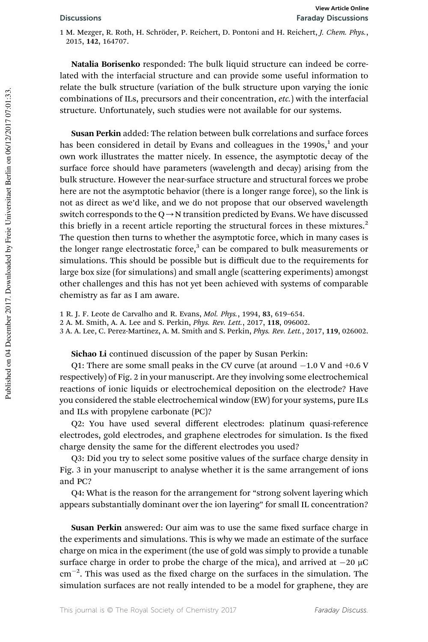1 M. Mezger, R. Roth, H. Schröder, P. Reichert, D. Pontoni and H. Reichert, *J. Chem. Phys.*, 2015, 142, 164707.

Natalia Borisenko responded: The bulk liquid structure can indeed be correlated with the interfacial structure and can provide some useful information to relate the bulk structure (variation of the bulk structure upon varying the ionic combinations of ILs, precursors and their concentration, *etc.*) with the interfacial structure. Unfortunately, such studies were not available for our systems.

Susan Perkin added: The relation between bulk correlations and surface forces has been considered in detail by Evans and colleagues in the 1990s,<sup>1</sup> and your own work illustrates the matter nicely. In essence, the asymptotic decay of the surface force should have parameters (wavelength and decay) arising from the bulk structure. However the near-surface structure and structural forces we probe here are not the asymptotic behavior (there is a longer range force), so the link is not as direct as we'd like, and we do not propose that our observed wavelength switch corresponds to the  $Q \rightarrow N$  transition predicted by Evans. We have discussed this briefly in a recent article reporting the structural forces in these mixtures. $2$ The question then turns to whether the asymptotic force, which in many cases is the longer range electrostatic force, $3$  can be compared to bulk measurements or simulations. This should be possible but is difficult due to the requirements for large box size (for simulations) and small angle (scattering experiments) amongst other challenges and this has not yet been achieved with systems of comparable chemistry as far as I am aware.

1 R. J. F. Leote de Carvalho and R. Evans, *Mol. Phys.*, 1994, 83, 619–654.

2 A. M. Smith, A. A. Lee and S. Perkin, *Phys. Rev. Lett.*, 2017, 118, 096002.

3 A. A. Lee, C. Perez-Martinez, A. M. Smith and S. Perkin, *Phys. Rev. Lett.*, 2017, 119, 026002.

Sichao Li continued discussion of the paper by Susan Perkin:

Q1: There are some small peaks in the CV curve (at around  $-1.0$  V and  $+0.6$  V respectively) of Fig. 2 in your manuscript. Are they involving some electrochemical reactions of ionic liquids or electrochemical deposition on the electrode? Have you considered the stable electrochemical window (EW) for your systems, pure ILs and ILs with propylene carbonate (PC)?

Q2: You have used several different electrodes: platinum quasi-reference electrodes, gold electrodes, and graphene electrodes for simulation. Is the fixed charge density the same for the different electrodes you used?

Q3: Did you try to select some positive values of the surface charge density in Fig. 3 in your manuscript to analyse whether it is the same arrangement of ions and PC?

Q4: What is the reason for the arrangement for "strong solvent layering which appears substantially dominant over the ion layering" for small IL concentration?

Susan Perkin answered: Our aim was to use the same fixed surface charge in the experiments and simulations. This is why we made an estimate of the surface charge on mica in the experiment (the use of gold was simply to provide a tunable surface charge in order to probe the charge of the mica), and arrived at  $-20 \mu C$  $\rm cm^{-2}$ . This was used as the fixed charge on the surfaces in the simulation. The simulation surfaces are not really intended to be a model for graphene, they are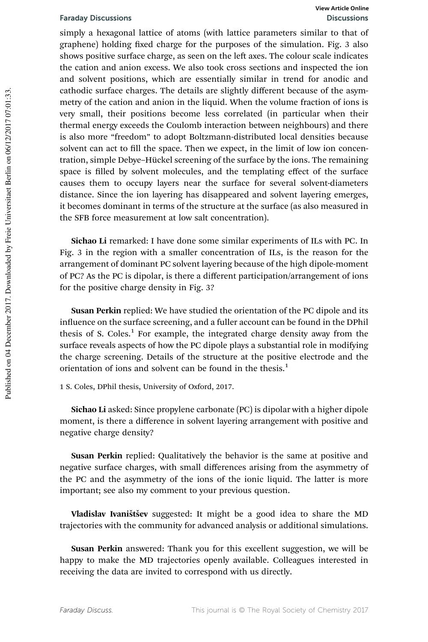simply a hexagonal lattice of atoms (with lattice parameters similar to that of graphene) holding fixed charge for the purposes of the simulation. Fig. 3 also shows positive surface charge, as seen on the left axes. The colour scale indicates the cation and anion excess. We also took cross sections and inspected the ion and solvent positions, which are essentially similar in trend for anodic and cathodic surface charges. The details are slightly different because of the asymmetry of the cation and anion in the liquid. When the volume fraction of ions is very small, their positions become less correlated (in particular when their thermal energy exceeds the Coulomb interaction between neighbours) and there is also more "freedom" to adopt Boltzmann-distributed local densities because solvent can act to fill the space. Then we expect, in the limit of low ion concentration, simple Debye–Hückel screening of the surface by the ions. The remaining space is filled by solvent molecules, and the templating effect of the surface causes them to occupy layers near the surface for several solvent-diameters distance. Since the ion layering has disappeared and solvent layering emerges, it becomes dominant in terms of the structure at the surface (as also measured in the SFB force measurement at low salt concentration).

Sichao Li remarked: I have done some similar experiments of ILs with PC. In Fig. 3 in the region with a smaller concentration of ILs, is the reason for the arrangement of dominant PC solvent layering because of the high dipole-moment of PC? As the PC is dipolar, is there a different participation/arrangement of ions for the positive charge density in Fig. 3?

Susan Perkin replied: We have studied the orientation of the PC dipole and its influence on the surface screening, and a fuller account can be found in the DPhil thesis of S. Coles.<sup>1</sup> For example, the integrated charge density away from the surface reveals aspects of how the PC dipole plays a substantial role in modifying the charge screening. Details of the structure at the positive electrode and the orientation of ions and solvent can be found in the thesis.<sup>1</sup>

1 S. Coles, DPhil thesis, University of Oxford, 2017.

Sichao Li asked: Since propylene carbonate (PC) is dipolar with a higher dipole moment, is there a difference in solvent layering arrangement with positive and negative charge density?

Susan Perkin replied: Qualitatively the behavior is the same at positive and negative surface charges, with small differences arising from the asymmetry of the PC and the asymmetry of the ions of the ionic liquid. The latter is more important; see also my comment to your previous question.

Vladislav Ivaništšev suggested: It might be a good idea to share the MD trajectories with the community for advanced analysis or additional simulations.

Susan Perkin answered: Thank you for this excellent suggestion, we will be happy to make the MD trajectories openly available. Colleagues interested in receiving the data are invited to correspond with us directly.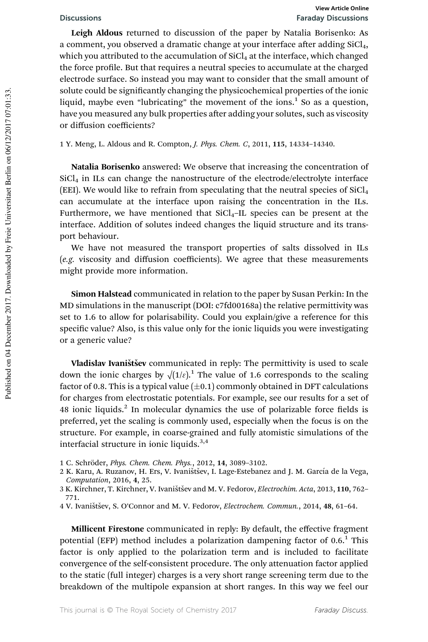Leigh Aldous returned to discussion of the paper by Natalia Borisenko: As a comment, you observed a dramatic change at your interface after adding SiCl<sub>4</sub>, which you attributed to the accumulation of  $SiCl<sub>4</sub>$  at the interface, which changed the force profile. But that requires a neutral species to accumulate at the charged electrode surface. So instead you may want to consider that the small amount of solute could be significantly changing the physicochemical properties of the ionic liquid, maybe even "lubricating" the movement of the ions. $^1$  So as a question, have you measured any bulk properties after adding your solutes, such as viscosity or diffusion coefficients?

1 Y. Meng, L. Aldous and R. Compton, *J. Phys. Chem. C*, 2011, 115, 14334–14340.

Natalia Borisenko answered: We observe that increasing the concentration of  $SiCl<sub>4</sub>$  in ILs can change the nanostructure of the electrode/electrolyte interface (EEI). We would like to refrain from speculating that the neutral species of  $SiCl<sub>4</sub>$ can accumulate at the interface upon raising the concentration in the ILs. Furthermore, we have mentioned that  $SiCl<sub>4</sub>$ -IL species can be present at the interface. Addition of solutes indeed changes the liquid structure and its transport behaviour.

We have not measured the transport properties of salts dissolved in ILs (*e.g.* viscosity and diffusion coefficients). We agree that these measurements might provide more information.

Simon Halstead communicated in relation to the paper by Susan Perkin: In the MD simulations in the manuscript (DOI: c7fd00168a) the relative permittivity was set to 1.6 to allow for polarisability. Could you explain/give a reference for this specific value? Also, is this value only for the ionic liquids you were investigating or a generic value?

Vladislav Ivaništšev communicated in reply: The permittivity is used to scale down the ionic charges by  $\sqrt{(1/\varepsilon)}$ .<sup>1</sup> The value of 1.6 corresponds to the scaling factor of 0.8. This is a typical value  $(\pm 0.1)$  commonly obtained in DFT calculations for charges from electrostatic potentials. For example, see our results for a set of 48 ionic liquids.<sup>2</sup> In molecular dynamics the use of polarizable force fields is preferred, yet the scaling is commonly used, especially when the focus is on the structure. For example, in coarse-grained and fully atomistic simulations of the interfacial structure in ionic liquids.<sup>3,4</sup>

Millicent Firestone communicated in reply: By default, the effective fragment potential (EFP) method includes a polarization dampening factor of 0.6.<sup>1</sup> This factor is only applied to the polarization term and is included to facilitate convergence of the self-consistent procedure. The only attenuation factor applied to the static (full integer) charges is a very short range screening term due to the breakdown of the multipole expansion at short ranges. In this way we feel our

<sup>1</sup> C. Schröder, *Phys. Chem. Chem. Phys.*, 2012, 14, 3089-3102.

<sup>2</sup> K. Karu, A. Ruzanov, H. Ers, V. Ivaništšev, I. Lage-Estebanez and J. M. García de la Vega, *Computation*, 2016, 4, 25.

<sup>3</sup> K. Kirchner, T. Kirchner, V. Ivaništšev and M. V. Fedorov, *Electrochim. Acta*, 2013, 110, 762-771.

<sup>4</sup> V. Ivaništšev, S. O'Connor and M. V. Fedorov, *Electrochem. Commun.*, 2014, 48, 61-64.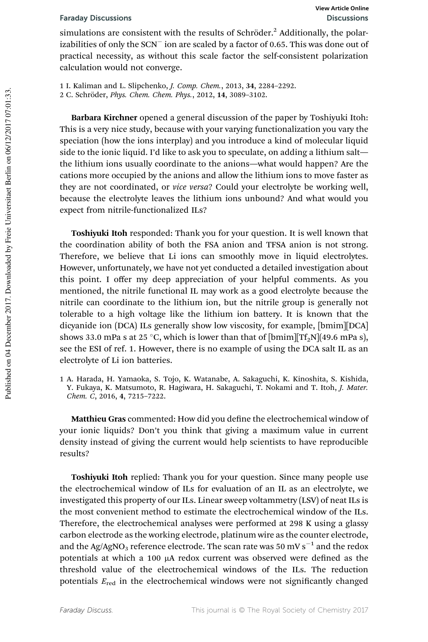simulations are consistent with the results of Schröder.<sup>2</sup> Additionally, the polarizabilities of only the SCN<sup>-</sup> ion are scaled by a factor of 0.65. This was done out of practical necessity, as without this scale factor the self-consistent polarization calculation would not converge.

1 I. Kaliman and L. Slipchenko, *J. Comp. Chem.*, 2013, 34, 2284–2292. 2 C. Schröder, *Phys. Chem. Chem. Phys.*, 2012, 14, 3089-3102.

Barbara Kirchner opened a general discussion of the paper by Toshiyuki Itoh: This is a very nice study, because with your varying functionalization you vary the speciation (how the ions interplay) and you introduce a kind of molecular liquid side to the ionic liquid. I'd like to ask you to speculate, on adding a lithium salt the lithium ions usually coordinate to the anions—what would happen? Are the cations more occupied by the anions and allow the lithium ions to move faster as they are not coordinated, or *vice versa*? Could your electrolyte be working well, because the electrolyte leaves the lithium ions unbound? And what would you expect from nitrile-functionalized ILs?

Toshiyuki Itoh responded: Thank you for your question. It is well known that the coordination ability of both the FSA anion and TFSA anion is not strong. Therefore, we believe that Li ions can smoothly move in liquid electrolytes. However, unfortunately, we have not yet conducted a detailed investigation about this point. I offer my deep appreciation of your helpful comments. As you mentioned, the nitrile functional IL may work as a good electrolyte because the nitrile can coordinate to the lithium ion, but the nitrile group is generally not tolerable to a high voltage like the lithium ion battery. It is known that the dicyanide ion (DCA) ILs generally show low viscosity, for example, [bmim][DCA] shows 33.0 mPa s at 25 °C, which is lower than that of  $[{\rm bmin}][Tf_2N](49.6$  mPa s), see the ESI of ref. 1. However, there is no example of using the DCA salt IL as an electrolyte of Li ion batteries.

1 A. Harada, H. Yamaoka, S. Tojo, K. Watanabe, A. Sakaguchi, K. Kinoshita, S. Kishida, Y. Fukaya, K. Matsumoto, R. Hagiwara, H. Sakaguchi, T. Nokami and T. Itoh, *J. Mater. Chem. C*, 2016, 4, 7215–7222.

Matthieu Gras commented: How did you define the electrochemical window of your ionic liquids? Don't you think that giving a maximum value in current density instead of giving the current would help scientists to have reproducible results?

Toshiyuki Itoh replied: Thank you for your question. Since many people use the electrochemical window of ILs for evaluation of an IL as an electrolyte, we investigated this property of our ILs. Linear sweep voltammetry (LSV) of neat ILs is the most convenient method to estimate the electrochemical window of the ILs. Therefore, the electrochemical analyses were performed at 298 K using a glassy carbon electrode as the working electrode, platinum wire as the counter electrode, and the Ag/AgNO<sub>3</sub> reference electrode. The scan rate was 50 mV s<sup>-1</sup> and the redox potentials at which a 100 µA redox current was observed were defined as the threshold value of the electrochemical windows of the ILs. The reduction potentials  $E_{\text{red}}$  in the electrochemical windows were not significantly changed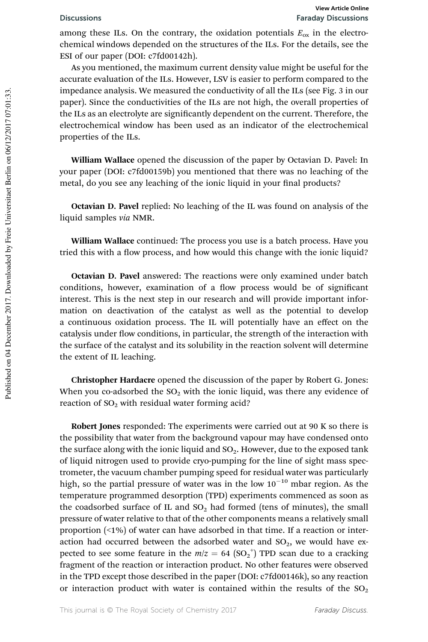among these ILs. On the contrary, the oxidation potentials  $E_{ox}$  in the electrochemical windows depended on the structures of the ILs. For the details, see the ESI of our paper (DOI: c7fd00142h).

As you mentioned, the maximum current density value might be useful for the accurate evaluation of the ILs. However, LSV is easier to perform compared to the impedance analysis. We measured the conductivity of all the ILs (see Fig. 3 in our paper). Since the conductivities of the ILs are not high, the overall properties of the ILs as an electrolyte are signicantly dependent on the current. Therefore, the electrochemical window has been used as an indicator of the electrochemical properties of the ILs.

William Wallace opened the discussion of the paper by Octavian D. Pavel: In your paper (DOI: c7fd00159b) you mentioned that there was no leaching of the metal, do you see any leaching of the ionic liquid in your final products?

Octavian D. Pavel replied: No leaching of the IL was found on analysis of the liquid samples *via* NMR.

William Wallace continued: The process you use is a batch process. Have you tried this with a flow process, and how would this change with the ionic liquid?

Octavian D. Pavel answered: The reactions were only examined under batch conditions, however, examination of a flow process would be of significant interest. This is the next step in our research and will provide important information on deactivation of the catalyst as well as the potential to develop a continuous oxidation process. The IL will potentially have an effect on the catalysis under flow conditions, in particular, the strength of the interaction with the surface of the catalyst and its solubility in the reaction solvent will determine the extent of IL leaching.

Christopher Hardacre opened the discussion of the paper by Robert G. Jones: When you co-adsorbed the  $SO_2$  with the ionic liquid, was there any evidence of reaction of  $SO<sub>2</sub>$  with residual water forming acid?

Robert Jones responded: The experiments were carried out at 90 K so there is the possibility that water from the background vapour may have condensed onto the surface along with the ionic liquid and  $SO_2$ . However, due to the exposed tank of liquid nitrogen used to provide cryo-pumping for the line of sight mass spectrometer, the vacuum chamber pumping speed for residual water was particularly high, so the partial pressure of water was in the low  $10^{-10}$  mbar region. As the temperature programmed desorption (TPD) experiments commenced as soon as the coadsorbed surface of IL and  $SO<sub>2</sub>$  had formed (tens of minutes), the small pressure of water relative to that of the other components means a relatively small proportion (<1%) of water can have adsorbed in that time. If a reaction or interaction had occurred between the adsorbed water and  $SO<sub>2</sub>$ , we would have expected to see some feature in the  $m/z = 64 \text{ (SO}_2^{\text{+}})$  TPD scan due to a cracking fragment of the reaction or interaction product. No other features were observed in the TPD except those described in the paper (DOI: c7fd00146k), so any reaction or interaction product with water is contained within the results of the  $SO_2$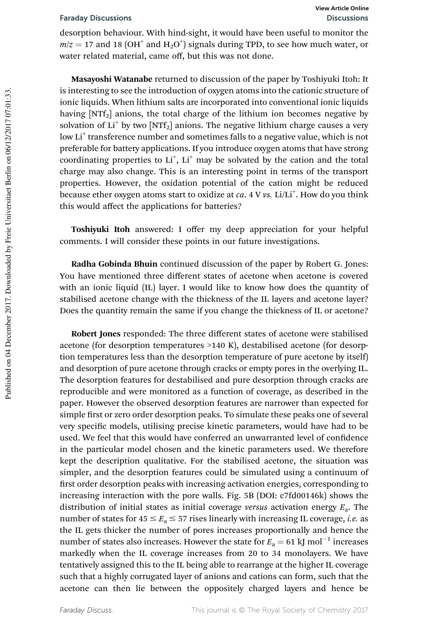desorption behaviour. With hind-sight, it would have been useful to monitor the  $m/z = 17$  and 18 (OH<sup>+</sup> and H<sub>2</sub>O<sup>+</sup>) signals during TPD, to see how much water, or water related material, came off, but this was not done.

Masayoshi Watanabe returned to discussion of the paper by Toshiyuki Itoh: It is interesting to see the introduction of oxygen atoms into the cationic structure of ionic liquids. When lithium salts are incorporated into conventional ionic liquids having  $[NTF_2]$  anions, the total charge of the lithium ion becomes negative by solvation of  $Li^+$  by two  $[NTf_2]$  anions. The negative lithium charge causes a very low Li<sup>+</sup> transference number and sometimes falls to a negative value, which is not preferable for battery applications. If you introduce oxygen atoms that have strong coordinating properties to  $Li<sup>+</sup>$ ,  $Li<sup>+</sup>$  may be solvated by the cation and the total charge may also change. This is an interesting point in terms of the transport properties. However, the oxidation potential of the cation might be reduced because ether oxygen atoms start to oxidize at *ca*. 4 V *vs*. Li/Li<sup>+</sup>. How do you think this would affect the applications for batteries?

Toshiyuki Itoh answered: I offer my deep appreciation for your helpful comments. I will consider these points in our future investigations.

Radha Gobinda Bhuin continued discussion of the paper by Robert G. Jones: You have mentioned three different states of acetone when acetone is covered with an ionic liquid (IL) layer. I would like to know how does the quantity of stabilised acetone change with the thickness of the IL layers and acetone layer? Does the quantity remain the same if you change the thickness of IL or acetone?

Robert Jones responded: The three different states of acetone were stabilised acetone (for desorption temperatures >140 K), destabilised acetone (for desorption temperatures less than the desorption temperature of pure acetone by itself) and desorption of pure acetone through cracks or empty pores in the overlying IL. The desorption features for destabilised and pure desorption through cracks are reproducible and were monitored as a function of coverage, as described in the paper. However the observed desorption features are narrower than expected for simple first or zero order desorption peaks. To simulate these peaks one of several very specific models, utilising precise kinetic parameters, would have had to be used. We feel that this would have conferred an unwarranted level of confidence in the particular model chosen and the kinetic parameters used. We therefore kept the description qualitative. For the stabilised acetone, the situation was simpler, and the desorption features could be simulated using a continuum of first order desorption peaks with increasing activation energies, corresponding to increasing interaction with the pore walls. Fig. 5B (DOI: c7fd00146k) shows the distribution of initial states as initial coverage *versus* activation energy *E*a. The number of states for  $45 \le E_a \le 57$  rises linearly with increasing IL coverage, *i.e.* as the IL gets thicker the number of pores increases proportionally and hence the number of states also increases. However the state for  $E_a = 61 \text{ kJ mol}^{-1}$  increases markedly when the IL coverage increases from 20 to 34 monolayers. We have tentatively assigned this to the IL being able to rearrange at the higher IL coverage such that a highly corrugated layer of anions and cations can form, such that the acetone can then lie between the oppositely charged layers and hence be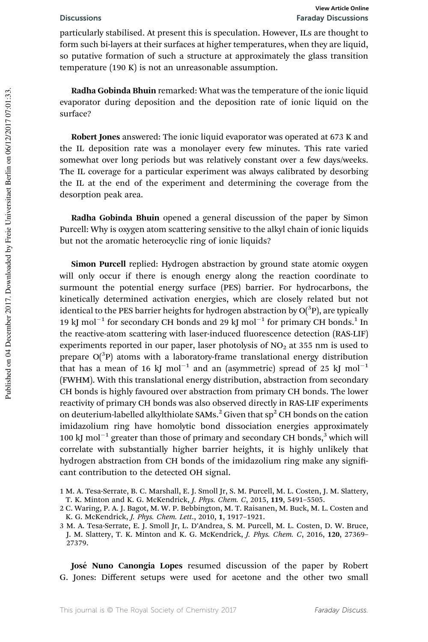particularly stabilised. At present this is speculation. However, ILs are thought to form such bi-layers at their surfaces at higher temperatures, when they are liquid, so putative formation of such a structure at approximately the glass transition temperature (190 K) is not an unreasonable assumption.

Radha Gobinda Bhuin remarked: What was the temperature of the ionic liquid evaporator during deposition and the deposition rate of ionic liquid on the surface?

Robert Jones answered: The ionic liquid evaporator was operated at 673 K and the IL deposition rate was a monolayer every few minutes. This rate varied somewhat over long periods but was relatively constant over a few days/weeks. The IL coverage for a particular experiment was always calibrated by desorbing the IL at the end of the experiment and determining the coverage from the desorption peak area.

Radha Gobinda Bhuin opened a general discussion of the paper by Simon Purcell: Why is oxygen atom scattering sensitive to the alkyl chain of ionic liquids but not the aromatic heterocyclic ring of ionic liquids?

Simon Purcell replied: Hydrogen abstraction by ground state atomic oxygen will only occur if there is enough energy along the reaction coordinate to surmount the potential energy surface (PES) barrier. For hydrocarbons, the kinetically determined activation energies, which are closely related but not identical to the PES barrier heights for hydrogen abstraction by  $O(^3P)$ , are typically 19 kJ mol<sup>-1</sup> for secondary CH bonds and 29 kJ mol<sup>-1</sup> for primary CH bonds.<sup>1</sup> In the reactive-atom scattering with laser-induced fluorescence detection (RAS-LIF) experiments reported in our paper, laser photolysis of  $NO<sub>2</sub>$  at 355 nm is used to prepare  $O(^3P)$  atoms with a laboratory-frame translational energy distribution that has a mean of 16 kJ mol<sup>-1</sup> and an (asymmetric) spread of 25 kJ mol<sup>-1</sup> (FWHM). With this translational energy distribution, abstraction from secondary CH bonds is highly favoured over abstraction from primary CH bonds. The lower reactivity of primary CH bonds was also observed directly in RAS-LIF experiments on deuterium-labelled alkylthiolate SAMs.<sup>2</sup> Given that  $sp<sup>2</sup>$  CH bonds on the cation imidazolium ring have homolytic bond dissociation energies approximately 100 kJ mol<sup>-1</sup> greater than those of primary and secondary CH bonds,<sup>3</sup> which will correlate with substantially higher barrier heights, it is highly unlikely that hydrogen abstraction from CH bonds of the imidazolium ring make any significant contribution to the detected OH signal.

- 1 M. A. Tesa-Serrate, B. C. Marshall, E. J. Smoll Jr, S. M. Purcell, M. L. Costen, J. M. Slattery, T. K. Minton and K. G. McKendrick, *J. Phys. Chem. C*, 2015, 119, 5491–5505.
- 2 C. Waring, P. A. J. Bagot, M. W. P. Bebbington, M. T. Raisanen, M. Buck, M. L. Costen and K. G. McKendrick, *J. Phys. Chem. Lett*., 2010, 1, 1917–1921.
- 3 M. A. Tesa-Serrate, E. J. Smoll Jr, L. D'Andrea, S. M. Purcell, M. L. Costen, D. W. Bruce, J. M. Slattery, T. K. Minton and K. G. McKendrick, *J. Phys. Chem. C*, 2016, 120, 27369– 27379.

José Nuno Canongia Lopes resumed discussion of the paper by Robert G. Jones: Different setups were used for acetone and the other two small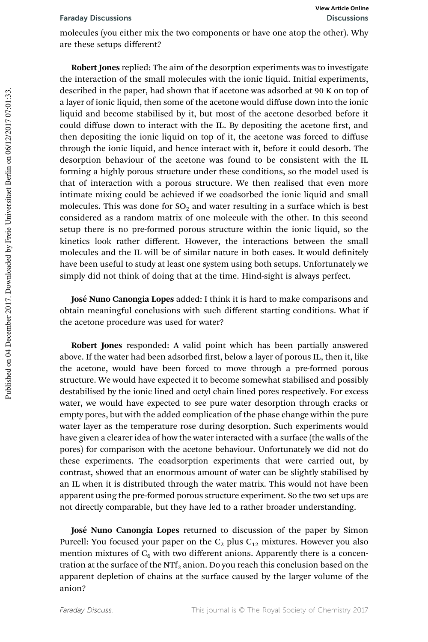molecules (you either mix the two components or have one atop the other). Why are these setups different?

Robert Jones replied: The aim of the desorption experiments was to investigate the interaction of the small molecules with the ionic liquid. Initial experiments, described in the paper, had shown that if acetone was adsorbed at 90 K on top of a layer of ionic liquid, then some of the acetone would diffuse down into the ionic liquid and become stabilised by it, but most of the acetone desorbed before it could diffuse down to interact with the IL. By depositing the acetone first, and then depositing the ionic liquid on top of it, the acetone was forced to diffuse through the ionic liquid, and hence interact with it, before it could desorb. The desorption behaviour of the acetone was found to be consistent with the IL forming a highly porous structure under these conditions, so the model used is that of interaction with a porous structure. We then realised that even more intimate mixing could be achieved if we coadsorbed the ionic liquid and small molecules. This was done for  $SO_2$  and water resulting in a surface which is best considered as a random matrix of one molecule with the other. In this second setup there is no pre-formed porous structure within the ionic liquid, so the kinetics look rather different. However, the interactions between the small molecules and the IL will be of similar nature in both cases. It would definitely have been useful to study at least one system using both setups. Unfortunately we simply did not think of doing that at the time. Hind-sight is always perfect.

José Nuno Canongia Lopes added: I think it is hard to make comparisons and obtain meaningful conclusions with such different starting conditions. What if the acetone procedure was used for water?

Robert Jones responded: A valid point which has been partially answered above. If the water had been adsorbed first, below a layer of porous IL, then it, like the acetone, would have been forced to move through a pre-formed porous structure. We would have expected it to become somewhat stabilised and possibly destabilised by the ionic lined and octyl chain lined pores respectively. For excess water, we would have expected to see pure water desorption through cracks or empty pores, but with the added complication of the phase change within the pure water layer as the temperature rose during desorption. Such experiments would have given a clearer idea of how the water interacted with a surface (the walls of the pores) for comparison with the acetone behaviour. Unfortunately we did not do these experiments. The coadsorption experiments that were carried out, by contrast, showed that an enormous amount of water can be slightly stabilised by an IL when it is distributed through the water matrix. This would not have been apparent using the pre-formed porous structure experiment. So the two set ups are not directly comparable, but they have led to a rather broader understanding.

José Nuno Canongia Lopes returned to discussion of the paper by Simon Purcell: You focused your paper on the  $C_2$  plus  $C_{12}$  mixtures. However you also mention mixtures of  $C_6$  with two different anions. Apparently there is a concentration at the surface of the NT $f_2$  anion. Do you reach this conclusion based on the apparent depletion of chains at the surface caused by the larger volume of the anion?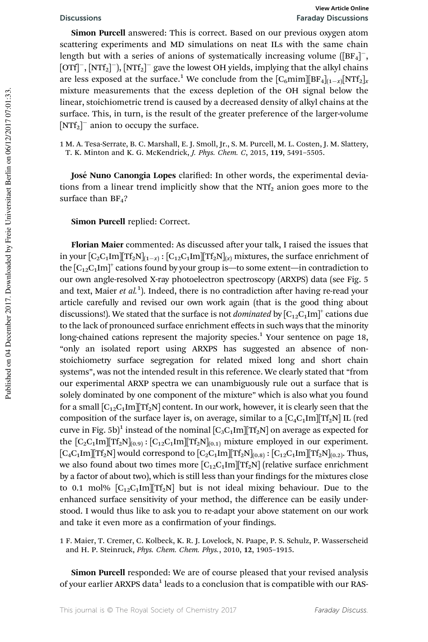Simon Purcell answered: This is correct. Based on our previous oxygen atom scattering experiments and MD simulations on neat ILs with the same chain length but with a series of anions of systematically increasing volume  $([BF<sub>4</sub>]^{-}$ ,  $[OTf]^{-}$ ,  $[NTf_2]^{-}$ ),  $[NTf_2]^{-}$  gave the lowest OH yields, implying that the alkyl chains are less exposed at the surface.<sup>1</sup> We conclude from the  $[C_6 {\rm min}][{\rm BF}_4]_{(1-x)} [{\rm NTT}_2]_{x}$ mixture measurements that the excess depletion of the OH signal below the linear, stoichiometric trend is caused by a decreased density of alkyl chains at the surface. This, in turn, is the result of the greater preference of the larger-volume  $[NTf_2]$ <sup>-</sup> anion to occupy the surface.

1 M. A. Tesa-Serrate, B. C. Marshall, E. J. Smoll, Jr., S. M. Purcell, M. L. Costen, J. M. Slattery, T. K. Minton and K. G. McKendrick, *J. Phys. Chem. C*, 2015, 119, 5491–5505.

José Nuno Canongia Lopes clarified: In other words, the experimental deviations from a linear trend implicitly show that the  $NTf<sub>2</sub>$  anion goes more to the surface than  $BF_4$ ?

Simon Purcell replied: Correct.

Florian Maier commented: As discussed after your talk, I raised the issues that in your  $[C_2C_1{\rm Im}][\mathrm{Tf}_2{\rm N}]_{(1-x)}$  :  $[C_{12}C_1{\rm Im}][\mathrm{Tf}_2{\rm N}]_{(x)}$  mixtures, the surface enrichment of the  $\left[C_{12}C_{1}\text{Im}\right]^{+}$  cations found by your group is—to some extent—in contradiction to our own angle-resolved X-ray photoelectron spectroscopy (ARXPS) data (see Fig. 5 and text, Maier *et al.*<sup>1</sup>). Indeed, there is no contradiction after having re-read your article carefully and revised our own work again (that is the good thing about discussions!). We stated that the surface is not *dominated* by  $\left[C_{12}C_{1}\text{Im}\right]^+$  cations due to the lack of pronounced surface enrichment effects in such ways that the minority long-chained cations represent the majority species.<sup>1</sup> Your sentence on page 18, "only an isolated report using ARXPS has suggested an absence of nonstoichiometry surface segregation for related mixed long and short chain systems", was not the intended result in this reference. We clearly stated that "from our experimental ARXP spectra we can unambiguously rule out a surface that is solely dominated by one component of the mixture" which is also what you found for a small  $[C_{12}C_1Im]$   $[TF_2N]$  content. In our work, however, it is clearly seen that the composition of the surface layer is, on average, similar to a  $[C_4C_1Im][Tf_2N]$  IL (red curve in Fig. 5b)<sup>1</sup> instead of the nominal  $\left[C_3C_1\text{Im}\right]\left[Tf_2N\right]$  on average as expected for the  $[C_2C_1Im][Tf_2N]_{(0.9)}$ :  $[C_1C_1Im][Tf_2N]_{(0.1)}$  mixture employed in our experiment.  $[C_4C_1Im][Tf_2N]$  would correspond to  $[C_2C_1Im][Tf_2N]_{(0.8)}$ :  $[C_1C_1Im][Tf_2N]_{(0.2)}$ . Thus, we also found about two times more  $[C_{12}C_1Im][Tf_2N]$  (relative surface enrichment by a factor of about two), which is still less than your findings for the mixtures close to 0.1 mol%  $[C_{12}C_1Im][Tf_2N]$  but is not ideal mixing behaviour. Due to the enhanced surface sensitivity of your method, the difference can be easily understood. I would thus like to ask you to re-adapt your above statement on our work and take it even more as a confirmation of your findings.

1 F. Maier, T. Cremer, C. Kolbeck, K. R. J. Lovelock, N. Paape, P. S. Schulz, P. Wasserscheid and H. P. Steinruck, *Phys. Chem. Chem. Phys.*, 2010, 12, 1905–1915.

Simon Purcell responded: We are of course pleased that your revised analysis of your earlier ARXPS data<sup>1</sup> leads to a conclusion that is compatible with our RAS-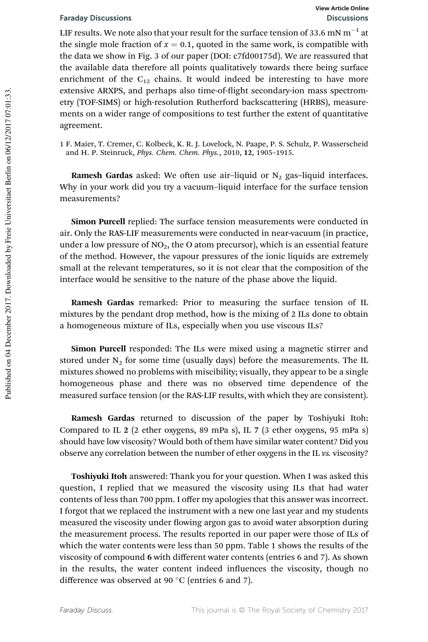LIF results. We note also that your result for the surface tension of 33.6 mN  $\mathrm{m}^{-1}$  at the single mole fraction of  $x = 0.1$ , quoted in the same work, is compatible with the data we show in Fig. 3 of our paper (DOI: c7fd00175d). We are reassured that the available data therefore all points qualitatively towards there being surface enrichment of the  $C_{12}$  chains. It would indeed be interesting to have more extensive ARXPS, and perhaps also time-of-flight secondary-ion mass spectrometry (TOF-SIMS) or high-resolution Rutherford backscattering (HRBS), measurements on a wider range of compositions to test further the extent of quantitative agreement.

1 F. Maier, T. Cremer, C. Kolbeck, K. R. J. Lovelock, N. Paape, P. S. Schulz, P. Wasserscheid and H. P. Steinruck, *Phys. Chem. Chem. Phys.*, 2010, 12, 1905–1915.

Ramesh Gardas asked: We often use air-liquid or  $N_2$  gas-liquid interfaces. Why in your work did you try a vacuum–liquid interface for the surface tension measurements?

Simon Purcell replied: The surface tension measurements were conducted in air. Only the RAS-LIF measurements were conducted in near-vacuum (in practice, under a low pressure of  $NO<sub>2</sub>$ , the O atom precursor), which is an essential feature of the method. However, the vapour pressures of the ionic liquids are extremely small at the relevant temperatures, so it is not clear that the composition of the interface would be sensitive to the nature of the phase above the liquid.

Ramesh Gardas remarked: Prior to measuring the surface tension of IL mixtures by the pendant drop method, how is the mixing of 2 ILs done to obtain a homogeneous mixture of ILs, especially when you use viscous ILs?

Simon Purcell responded: The ILs were mixed using a magnetic stirrer and stored under  $N_2$  for some time (usually days) before the measurements. The IL mixtures showed no problems with miscibility; visually, they appear to be a single homogeneous phase and there was no observed time dependence of the measured surface tension (or the RAS-LIF results, with which they are consistent).

Ramesh Gardas returned to discussion of the paper by Toshiyuki Itoh: Compared to IL 2 (2 ether oxygens, 89 mPa s), IL 7 (3 ether oxygens, 95 mPa s) should have low viscosity? Would both of them have similar water content? Did you observe any correlation between the number of ether oxygens in the IL *vs.* viscosity?

Toshiyuki Itoh answered: Thank you for your question. When I was asked this question, I replied that we measured the viscosity using ILs that had water contents of less than 700 ppm. I offer my apologies that this answer was incorrect. I forgot that we replaced the instrument with a new one last year and my students measured the viscosity under flowing argon gas to avoid water absorption during the measurement process. The results reported in our paper were those of ILs of which the water contents were less than 50 ppm. Table 1 shows the results of the viscosity of compound 6 with different water contents (entries 6 and 7). As shown in the results, the water content indeed influences the viscosity, though no difference was observed at 90 $\degree$ C (entries 6 and 7).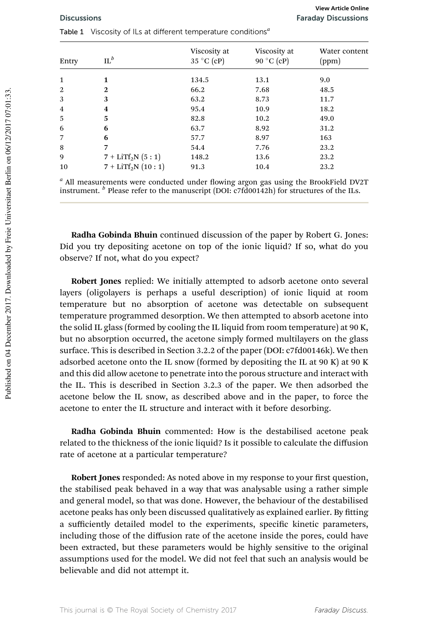| Viscosity at<br>Viscosity at<br>$IL^b$<br>35 °C (cP)<br>90 °C (cP)<br>(ppm)<br>Entry | Water content |
|--------------------------------------------------------------------------------------|---------------|
| 134.5<br>9.0<br>1<br>13.1                                                            |               |
| 2<br>$\mathbf{2}$<br>66.2<br>7.68<br>48.5                                            |               |
| 3<br>3<br>63.2<br>8.73<br>11.7                                                       |               |
| 95.4<br>18.2<br>10.9<br>4<br>4                                                       |               |
| 5<br>5<br>82.8<br>10.2<br>49.0                                                       |               |
| 6<br>8.92<br>6<br>31.2<br>63.7                                                       |               |
| 6<br>57.7<br>8.97<br>163                                                             |               |
| 8<br>7<br>54.4<br>7.76<br>23.2                                                       |               |
| 7 + LiTf <sub>2</sub> N $(5:1)$<br>9<br>148.2<br>23.2<br>13.6                        |               |
| $7 + LITf2N (10:1)$<br>10<br>91.3<br>23.2<br>10.4                                    |               |

Table 1 Viscosity of ILs at different temperature conditions*<sup>a</sup>*

<sup>a</sup> All measurements were conducted under flowing argon gas using the BrookField DV2T instrument. *<sup>b</sup>* Please refer to the manuscript (DOI: c7fd00142h) for structures of the ILs.

Radha Gobinda Bhuin continued discussion of the paper by Robert G. Jones: Did you try depositing acetone on top of the ionic liquid? If so, what do you observe? If not, what do you expect?

Robert Jones replied: We initially attempted to adsorb acetone onto several layers (oligolayers is perhaps a useful description) of ionic liquid at room temperature but no absorption of acetone was detectable on subsequent temperature programmed desorption. We then attempted to absorb acetone into the solid IL glass (formed by cooling the IL liquid from room temperature) at 90 K, but no absorption occurred, the acetone simply formed multilayers on the glass surface. This is described in Section 3.2.2 of the paper (DOI: c7fd00146k). We then adsorbed acetone onto the IL snow (formed by depositing the IL at 90 K) at 90 K and this did allow acetone to penetrate into the porous structure and interact with the IL. This is described in Section 3.2.3 of the paper. We then adsorbed the acetone below the IL snow, as described above and in the paper, to force the acetone to enter the IL structure and interact with it before desorbing.

Radha Gobinda Bhuin commented: How is the destabilised acetone peak related to the thickness of the ionic liquid? Is it possible to calculate the diffusion rate of acetone at a particular temperature?

Robert Jones responded: As noted above in my response to your first question, the stabilised peak behaved in a way that was analysable using a rather simple and general model, so that was done. However, the behaviour of the destabilised acetone peaks has only been discussed qualitatively as explained earlier. By tting a sufficiently detailed model to the experiments, specific kinetic parameters, including those of the diffusion rate of the acetone inside the pores, could have been extracted, but these parameters would be highly sensitive to the original assumptions used for the model. We did not feel that such an analysis would be believable and did not attempt it.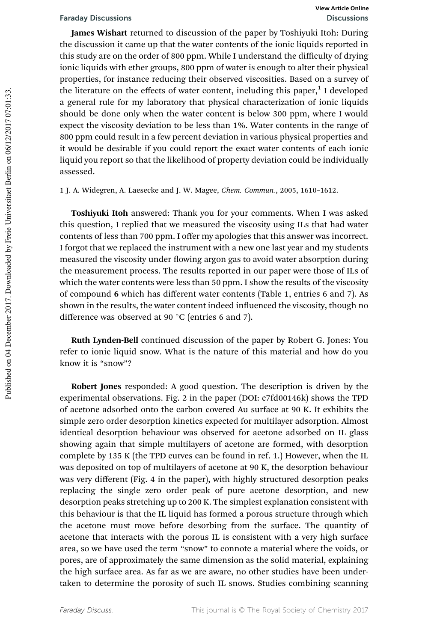James Wishart returned to discussion of the paper by Toshiyuki Itoh: During the discussion it came up that the water contents of the ionic liquids reported in this study are on the order of 800 ppm. While I understand the difficulty of drying ionic liquids with ether groups, 800 ppm of water is enough to alter their physical properties, for instance reducing their observed viscosities. Based on a survey of the literature on the effects of water content, including this paper,<sup>1</sup> I developed a general rule for my laboratory that physical characterization of ionic liquids should be done only when the water content is below 300 ppm, where I would expect the viscosity deviation to be less than 1%. Water contents in the range of 800 ppm could result in a few percent deviation in various physical properties and it would be desirable if you could report the exact water contents of each ionic liquid you report so that the likelihood of property deviation could be individually assessed.

1 J. A. Widegren, A. Laesecke and J. W. Magee, *Chem. Commun.*, 2005, 1610–1612.

Toshiyuki Itoh answered: Thank you for your comments. When I was asked this question, I replied that we measured the viscosity using ILs that had water contents of less than 700 ppm. I offer my apologies that this answer was incorrect. I forgot that we replaced the instrument with a new one last year and my students measured the viscosity under flowing argon gas to avoid water absorption during the measurement process. The results reported in our paper were those of ILs of which the water contents were less than 50 ppm. I show the results of the viscosity of compound 6 which has different water contents (Table 1, entries 6 and 7). As shown in the results, the water content indeed influenced the viscosity, though no difference was observed at 90 $\degree$ C (entries 6 and 7).

Ruth Lynden-Bell continued discussion of the paper by Robert G. Jones: You refer to ionic liquid snow. What is the nature of this material and how do you know it is "snow"?

Robert Jones responded: A good question. The description is driven by the experimental observations. Fig. 2 in the paper (DOI: c7fd00146k) shows the TPD of acetone adsorbed onto the carbon covered Au surface at 90 K. It exhibits the simple zero order desorption kinetics expected for multilayer adsorption. Almost identical desorption behaviour was observed for acetone adsorbed on IL glass showing again that simple multilayers of acetone are formed, with desorption complete by 135 K (the TPD curves can be found in ref. 1.) However, when the IL was deposited on top of multilayers of acetone at 90 K, the desorption behaviour was very different (Fig. 4 in the paper), with highly structured desorption peaks replacing the single zero order peak of pure acetone desorption, and new desorption peaks stretching up to 200 K. The simplest explanation consistent with this behaviour is that the IL liquid has formed a porous structure through which the acetone must move before desorbing from the surface. The quantity of acetone that interacts with the porous IL is consistent with a very high surface area, so we have used the term "snow" to connote a material where the voids, or pores, are of approximately the same dimension as the solid material, explaining the high surface area. As far as we are aware, no other studies have been undertaken to determine the porosity of such IL snows. Studies combining scanning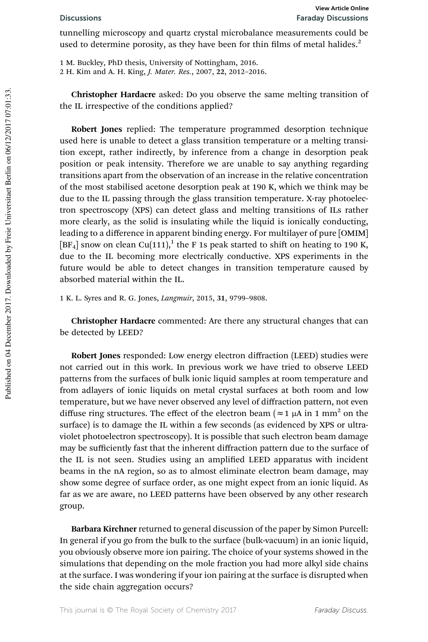tunnelling microscopy and quartz crystal microbalance measurements could be used to determine porosity, as they have been for thin films of metal halides.<sup>2</sup>

1 M. Buckley, PhD thesis, University of Nottingham, 2016.

2 H. Kim and A. H. King, *J. Mater. Res.*, 2007, 22, 2012–2016.

Christopher Hardacre asked: Do you observe the same melting transition of the IL irrespective of the conditions applied?

Robert Jones replied: The temperature programmed desorption technique used here is unable to detect a glass transition temperature or a melting transition except, rather indirectly, by inference from a change in desorption peak position or peak intensity. Therefore we are unable to say anything regarding transitions apart from the observation of an increase in the relative concentration of the most stabilised acetone desorption peak at 190 K, which we think may be due to the IL passing through the glass transition temperature. X-ray photoelectron spectroscopy (XPS) can detect glass and melting transitions of ILs rather more clearly, as the solid is insulating while the liquid is ionically conducting, leading to a difference in apparent binding energy. For multilayer of pure [OMIM] [BF<sub>4</sub>] snow on clean Cu(111),<sup>1</sup> the F 1s peak started to shift on heating to 190 K, due to the IL becoming more electrically conductive. XPS experiments in the future would be able to detect changes in transition temperature caused by absorbed material within the IL.

1 K. L. Syres and R. G. Jones, *Langmuir*, 2015, 31, 9799–9808.

Christopher Hardacre commented: Are there any structural changes that can be detected by LEED?

Robert Jones responded: Low energy electron diffraction (LEED) studies were not carried out in this work. In previous work we have tried to observe LEED patterns from the surfaces of bulk ionic liquid samples at room temperature and from adlayers of ionic liquids on metal crystal surfaces at both room and low temperature, but we have never observed any level of diffraction pattern, not even diffuse ring structures. The effect of the electron beam ( $\approx$  1 µA in 1 mm<sup>2</sup> on the surface) is to damage the IL within a few seconds (as evidenced by XPS or ultraviolet photoelectron spectroscopy). It is possible that such electron beam damage may be sufficiently fast that the inherent diffraction pattern due to the surface of the IL is not seen. Studies using an amplified LEED apparatus with incident beams in the nA region, so as to almost eliminate electron beam damage, may show some degree of surface order, as one might expect from an ionic liquid. As far as we are aware, no LEED patterns have been observed by any other research group.

Barbara Kirchner returned to general discussion of the paper by Simon Purcell: In general if you go from the bulk to the surface (bulk-vacuum) in an ionic liquid, you obviously observe more ion pairing. The choice of your systems showed in the simulations that depending on the mole fraction you had more alkyl side chains at the surface. I was wondering if your ion pairing at the surface is disrupted when the side chain aggregation occurs?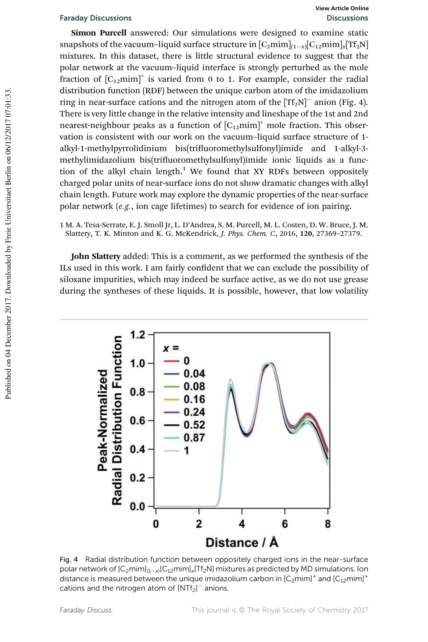# Faraday Discussions Discussions

Simon Purcell answered: Our simulations were designed to examine static snapshots of the vacuum–liquid surface structure in  $[C_2\rm{mim}]_{(1-x)}[C_{12}\rm{mim}]_x[Tf_2N]$ mixtures. In this dataset, there is little structural evidence to suggest that the polar network at the vacuum–liquid interface is strongly perturbed as the mole fraction of  $[C_{12}mim]^{+}$  is varied from 0 to 1. For example, consider the radial distribution function (RDF) between the unique carbon atom of the imidazolium ring in near-surface cations and the nitrogen atom of the  $[{\rm Tf}_2 N]^-$  anion (Fig. 4). There is very little change in the relative intensity and lineshape of the 1st and 2nd nearest-neighbour peaks as a function of  $[C_{12}mim]^+$  mole fraction. This observation is consistent with our work on the vacuum–liquid surface structure of 1 alkyl-1-methylpyrrolidinium bis(triuoromethylsulfonyl)imide and 1-alkyl-3 methylimidazolium bis(trifluoromethylsulfonyl)imide ionic liquids as a function of the alkyl chain length.<sup>1</sup> We found that XY RDFs between oppositely charged polar units of near-surface ions do not show dramatic changes with alkyl chain length. Future work may explore the dynamic properties of the near-surface polar network (*e.g.*, ion cage lifetimes) to search for evidence of ion pairing.

1 M. A. Tesa-Serrate, E. J. Smoll Jr, L. D'Andrea, S. M. Purcell, M. L. Costen, D. W. Bruce, J. M. Slattery, T. K. Minton and K. G. McKendrick, *J. Phys. Chem. C*, 2016, 120, 27369–27379.

John Slattery added: This is a comment, as we performed the synthesis of the ILs used in this work. I am fairly confident that we can exclude the possibility of siloxane impurities, which may indeed be surface active, as we do not use grease during the syntheses of these liquids. It is possible, however, that low volatility



Fig. 4 Radial distribution function between oppositely charged ions in the near-surface polar network of [C<sub>2</sub>mim]<sub>(1–x)</sub>[C<sub>12</sub>mim]<sub>x</sub>[Tf<sub>2</sub>N] mixtures as predicted by MD simulations. Ion distance is measured between the unique imidazolium carbon in [C<sub>2</sub>mim]<sup>+</sup> and [C<sub>12</sub>mim]<sup>+</sup> cations and the nitrogen atom of  $[NTr_2]$ <sup>-</sup> anions.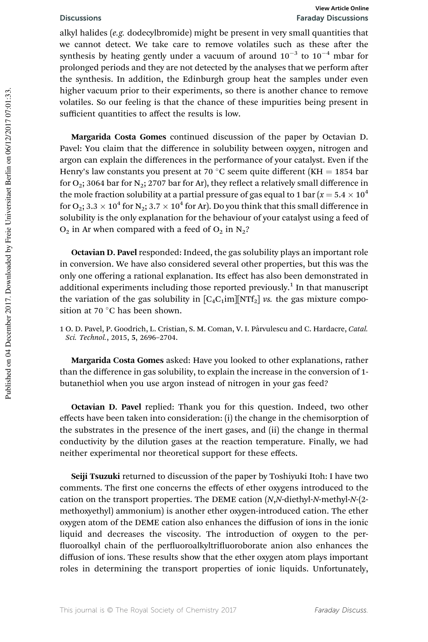alkyl halides (*e.g.* dodecylbromide) might be present in very small quantities that we cannot detect. We take care to remove volatiles such as these after the synthesis by heating gently under a vacuum of around  $10^{-3}$  to  $10^{-4}$  mbar for prolonged periods and they are not detected by the analyses that we perform after the synthesis. In addition, the Edinburgh group heat the samples under even higher vacuum prior to their experiments, so there is another chance to remove volatiles. So our feeling is that the chance of these impurities being present in sufficient quantities to affect the results is low.

Margarida Costa Gomes continued discussion of the paper by Octavian D. Pavel: You claim that the difference in solubility between oxygen, nitrogen and argon can explain the differences in the performance of your catalyst. Even if the Henry's law constants you present at 70 °C seem quite different (KH = 1854 bar for  $O_2$ ; 3064 bar for  $N_2$ ; 2707 bar for Ar), they reflect a relatively small difference in the mole fraction solubility at a partial pressure of gas equal to 1 bar ( $x = 5.4 \times 10^4$ ) for O<sub>2</sub>; 3.3  $\times$  10<sup>4</sup> for N<sub>2</sub>; 3.7  $\times$  10<sup>4</sup> for Ar). Do you think that this small difference in solubility is the only explanation for the behaviour of your catalyst using a feed of  $O_2$  in Ar when compared with a feed of  $O_2$  in  $N_2$ ?

Octavian D. Pavel responded: Indeed, the gas solubility plays an important role in conversion. We have also considered several other properties, but this was the only one offering a rational explanation. Its effect has also been demonstrated in additional experiments including those reported previously.<sup>1</sup> In that manuscript the variation of the gas solubility in  $[C_4C_1im][NTf_2]$  *vs.* the gas mixture composition at 70 $\degree$ C has been shown.

1 O. D. Pavel, P. Goodrich, L. Cristian, S. M. Coman, V. I. Pârvulescu and C. Hardacre, *Catal. Sci. Technol.*, 2015, 5, 2696–2704.

Margarida Costa Gomes asked: Have you looked to other explanations, rather than the difference in gas solubility, to explain the increase in the conversion of 1 butanethiol when you use argon instead of nitrogen in your gas feed?

Octavian D. Pavel replied: Thank you for this question. Indeed, two other effects have been taken into consideration: (i) the change in the chemisorption of the substrates in the presence of the inert gases, and (ii) the change in thermal conductivity by the dilution gases at the reaction temperature. Finally, we had neither experimental nor theoretical support for these effects.

Seiji Tsuzuki returned to discussion of the paper by Toshiyuki Itoh: I have two comments. The first one concerns the effects of ether oxygens introduced to the cation on the transport properties. The DEME cation (*N*,*N*-diethyl-*N*-methyl-*N*-(2 methoxyethyl) ammonium) is another ether oxygen-introduced cation. The ether oxygen atom of the DEME cation also enhances the diffusion of ions in the ionic liquid and decreases the viscosity. The introduction of oxygen to the per fluoroalkyl chain of the perfluoroalkyltrifluoroborate anion also enhances the diffusion of ions. These results show that the ether oxygen atom plays important roles in determining the transport properties of ionic liquids. Unfortunately,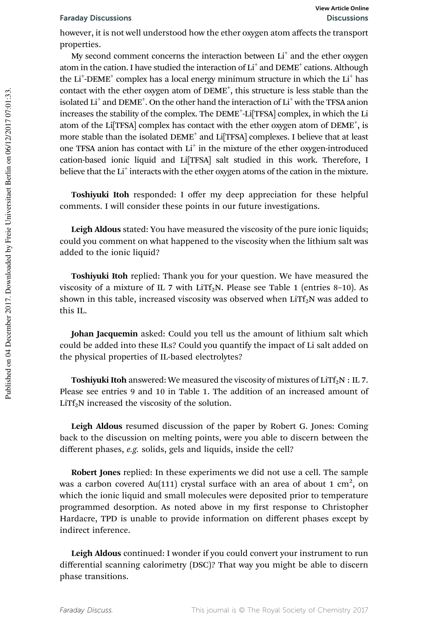however, it is not well understood how the ether oxygen atom affects the transport properties.

My second comment concerns the interaction between  $\mathrm{Li}^+$  and the ether oxygen atom in the cation. I have studied the interaction of  $\text{Li}^+$  and  $\text{DEME}^+$  cations. Although the Li<sup>+</sup>-DEME<sup>+</sup> complex has a local energy minimum structure in which the Li<sup>+</sup> has contact with the ether oxygen atom of DEME<sup>+</sup>, this structure is less stable than the isolated  $\mathrm{Li}^+$  and  $\mathrm{DEME}^+$ . On the other hand the interaction of  $\mathrm{Li}^+$  with the TFSA anion increases the stability of the complex. The DEME<sup>+</sup>-Li<sup>[</sup>TFSA] complex, in which the Li atom of the Li[TFSA] complex has contact with the ether oxygen atom of DEME<sup>+</sup>, is more stable than the isolated DEME<sup>+</sup> and Li<sup>[</sup>TFSA] complexes. I believe that at least one TFSA anion has contact with Li<sup>+</sup> in the mixture of the ether oxygen-introduced cation-based ionic liquid and Li[TFSA] salt studied in this work. Therefore, I believe that the  $Li<sup>+</sup>$  interacts with the ether oxygen atoms of the cation in the mixture.

Toshiyuki Itoh responded: I offer my deep appreciation for these helpful comments. I will consider these points in our future investigations.

Leigh Aldous stated: You have measured the viscosity of the pure ionic liquids; could you comment on what happened to the viscosity when the lithium salt was added to the ionic liquid?

Toshiyuki Itoh replied: Thank you for your question. We have measured the viscosity of a mixture of IL 7 with LiTf<sub>2</sub>N. Please see Table 1 (entries 8–10). As shown in this table, increased viscosity was observed when  $LiTf_2N$  was added to this IL.

Johan Jacquemin asked: Could you tell us the amount of lithium salt which could be added into these ILs? Could you quantify the impact of Li salt added on the physical properties of IL-based electrolytes?

**Toshiyuki Itoh** answered: We measured the viscosity of mixtures of  $LiTf<sub>2</sub>N$  : IL 7. Please see entries 9 and 10 in Table 1. The addition of an increased amount of  $LiTf<sub>2</sub>N$  increased the viscosity of the solution.

Leigh Aldous resumed discussion of the paper by Robert G. Jones: Coming back to the discussion on melting points, were you able to discern between the different phases, *e.g.* solids, gels and liquids, inside the cell?

Robert Jones replied: In these experiments we did not use a cell. The sample was a carbon covered Au(111) crystal surface with an area of about 1 cm $^2$ , on which the ionic liquid and small molecules were deposited prior to temperature programmed desorption. As noted above in my first response to Christopher Hardacre, TPD is unable to provide information on different phases except by indirect inference.

Leigh Aldous continued: I wonder if you could convert your instrument to run differential scanning calorimetry (DSC)? That way you might be able to discern phase transitions.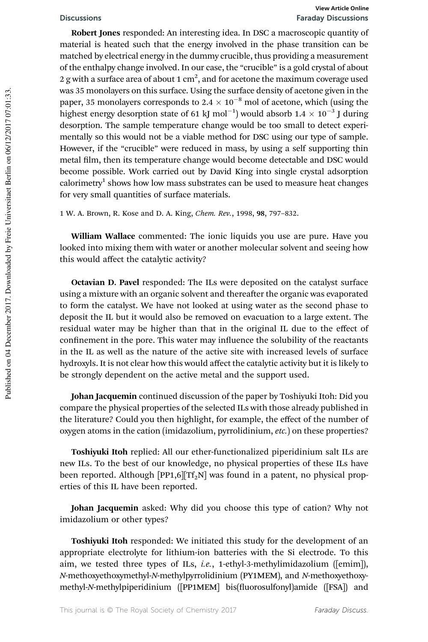## Discussions Faraday Discussions **View Article Online**

Robert Jones responded: An interesting idea. In DSC a macroscopic quantity of material is heated such that the energy involved in the phase transition can be matched by electrical energy in the dummy crucible, thus providing a measurement of the enthalpy change involved. In our case, the "crucible" is a gold crystal of about 2 g with a surface area of about 1  $\mathrm{cm}^2,$  and for acetone the maximum coverage used was 35 monolayers on this surface. Using the surface density of acetone given in the paper, 35 monolayers corresponds to 2.4  $\times$  10<sup>-8</sup> mol of acetone, which (using the highest energy desorption state of 61 kJ mol<sup>-1</sup>) would absorb  $1.4 \times 10^{-3}$  J during desorption. The sample temperature change would be too small to detect experimentally so this would not be a viable method for DSC using our type of sample. However, if the "crucible" were reduced in mass, by using a self supporting thin metal film, then its temperature change would become detectable and DSC would become possible. Work carried out by David King into single crystal adsorption calorimetry<sup>1</sup> shows how low mass substrates can be used to measure heat changes for very small quantities of surface materials.

1 W. A. Brown, R. Kose and D. A. King, *Chem. Rev.*, 1998, 98, 797–832.

William Wallace commented: The ionic liquids you use are pure. Have you looked into mixing them with water or another molecular solvent and seeing how this would affect the catalytic activity?

Octavian D. Pavel responded: The ILs were deposited on the catalyst surface using a mixture with an organic solvent and thereafter the organic was evaporated to form the catalyst. We have not looked at using water as the second phase to deposit the IL but it would also be removed on evacuation to a large extent. The residual water may be higher than that in the original IL due to the effect of confinement in the pore. This water may influence the solubility of the reactants in the IL as well as the nature of the active site with increased levels of surface hydroxyls. It is not clear how this would affect the catalytic activity but it is likely to be strongly dependent on the active metal and the support used.

Johan Jacquemin continued discussion of the paper by Toshiyuki Itoh: Did you compare the physical properties of the selected ILs with those already published in the literature? Could you then highlight, for example, the effect of the number of oxygen atoms in the cation (imidazolium, pyrrolidinium, *etc.*) on these properties?

Toshiyuki Itoh replied: All our ether-functionalized piperidinium salt ILs are new ILs. To the best of our knowledge, no physical properties of these ILs have been reported. Although [PP1,6][Tf<sub>2</sub>N] was found in a patent, no physical properties of this IL have been reported.

Johan Jacquemin asked: Why did you choose this type of cation? Why not imidazolium or other types?

Toshiyuki Itoh responded: We initiated this study for the development of an appropriate electrolyte for lithium-ion batteries with the Si electrode. To this aim, we tested three types of ILs, *i.e.*, 1-ethyl-3-methylimidazolium ([emim]), *N*-methoxyethoxymethyl-*N*-methylpyrrolidinium (PY1MEM), and *N*-methoxyethoxymethyl-*N*-methylpiperidinium ([PP1MEM] bis(fluorosulfonyl)amide ([FSA]) and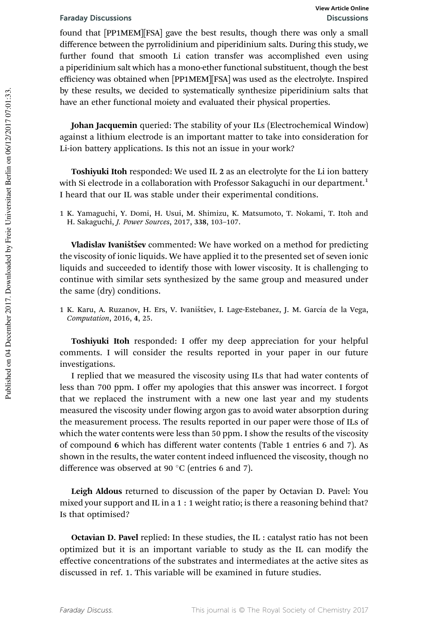found that [PP1MEM][FSA] gave the best results, though there was only a small difference between the pyrrolidinium and piperidinium salts. During this study, we further found that smooth Li cation transfer was accomplished even using a piperidinium salt which has a mono-ether functional substituent, though the best efficiency was obtained when [PP1MEM][FSA] was used as the electrolyte. Inspired by these results, we decided to systematically synthesize piperidinium salts that have an ether functional moiety and evaluated their physical properties.

Johan Jacquemin queried: The stability of your ILs (Electrochemical Window) against a lithium electrode is an important matter to take into consideration for Li-ion battery applications. Is this not an issue in your work?

Toshiyuki Itoh responded: We used IL 2 as an electrolyte for the Li ion battery with Si electrode in a collaboration with Professor Sakaguchi in our department.<sup>1</sup> I heard that our IL was stable under their experimental conditions.

1 K. Yamaguchi, Y. Domi, H. Usui, M. Shimizu, K. Matsumoto, T. Nokami, T. Itoh and H. Sakaguchi, *J. Power Sources*, 2017, 338, 103–107.

Vladislav Ivaništšev commented: We have worked on a method for predicting the viscosity of ionic liquids. We have applied it to the presented set of seven ionic liquids and succeeded to identify those with lower viscosity. It is challenging to continue with similar sets synthesized by the same group and measured under the same (dry) conditions.

1 K. Karu, A. Ruzanov, H. Ers, V. Ivaništšev, I. Lage-Estebanez, J. M. García de la Vega, *Computation*, 2016, 4, 25.

Toshiyuki Itoh responded: I offer my deep appreciation for your helpful comments. I will consider the results reported in your paper in our future investigations.

I replied that we measured the viscosity using ILs that had water contents of less than 700 ppm. I offer my apologies that this answer was incorrect. I forgot that we replaced the instrument with a new one last year and my students measured the viscosity under flowing argon gas to avoid water absorption during the measurement process. The results reported in our paper were those of ILs of which the water contents were less than 50 ppm. I show the results of the viscosity of compound 6 which has different water contents (Table 1 entries 6 and 7). As shown in the results, the water content indeed influenced the viscosity, though no difference was observed at 90 $\degree$ C (entries 6 and 7).

Leigh Aldous returned to discussion of the paper by Octavian D. Pavel: You mixed your support and IL in a 1 : 1 weight ratio; is there a reasoning behind that? Is that optimised?

Octavian D. Pavel replied: In these studies, the IL : catalyst ratio has not been optimized but it is an important variable to study as the IL can modify the effective concentrations of the substrates and intermediates at the active sites as discussed in ref. 1. This variable will be examined in future studies.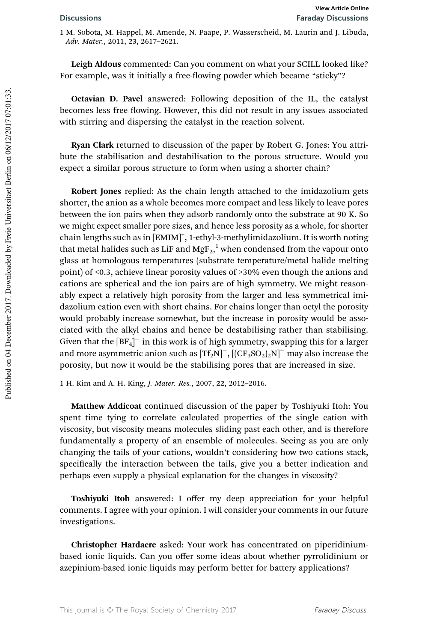1 M. Sobota, M. Happel, M. Amende, N. Paape, P. Wasserscheid, M. Laurin and J. Libuda, *Adv. Mater.*, 2011, 23, 2617–2621.

Leigh Aldous commented: Can you comment on what your SCILL looked like? For example, was it initially a free-flowing powder which became "sticky"?

Octavian D. Pavel answered: Following deposition of the IL, the catalyst becomes less free flowing. However, this did not result in any issues associated with stirring and dispersing the catalyst in the reaction solvent.

Ryan Clark returned to discussion of the paper by Robert G. Jones: You attribute the stabilisation and destabilisation to the porous structure. Would you expect a similar porous structure to form when using a shorter chain?

Robert Jones replied: As the chain length attached to the imidazolium gets shorter, the anion as a whole becomes more compact and less likely to leave pores between the ion pairs when they adsorb randomly onto the substrate at 90 K. So we might expect smaller pore sizes, and hence less porosity as a whole, for shorter chain lengths such as in [EMIM]<sup>+</sup>, 1-ethyl-3-methylimidazolium. It is worth noting that metal halides such as LiF and  $\mathrm{MgF_2,}^1$  when condensed from the vapour onto glass at homologous temperatures (substrate temperature/metal halide melting point) of <0.3, achieve linear porosity values of >30% even though the anions and cations are spherical and the ion pairs are of high symmetry. We might reasonably expect a relatively high porosity from the larger and less symmetrical imidazolium cation even with short chains. For chains longer than octyl the porosity would probably increase somewhat, but the increase in porosity would be associated with the alkyl chains and hence be destabilising rather than stabilising. Given that the  $[BF_4]^-$  in this work is of high symmetry, swapping this for a larger and more asymmetric anion such as  $[TF_2N]^-$ ,  $[(CF_3SO_2)_2N]^-$  may also increase the porosity, but now it would be the stabilising pores that are increased in size.

1 H. Kim and A. H. King, *J. Mater. Res.*, 2007, 22, 2012–2016.

Matthew Addicoat continued discussion of the paper by Toshiyuki Itoh: You spent time tying to correlate calculated properties of the single cation with viscosity, but viscosity means molecules sliding past each other, and is therefore fundamentally a property of an ensemble of molecules. Seeing as you are only changing the tails of your cations, wouldn't considering how two cations stack, specifically the interaction between the tails, give you a better indication and perhaps even supply a physical explanation for the changes in viscosity?

Toshiyuki Itoh answered: I offer my deep appreciation for your helpful comments. I agree with your opinion. I will consider your comments in our future investigations.

Christopher Hardacre asked: Your work has concentrated on piperidiniumbased ionic liquids. Can you offer some ideas about whether pyrrolidinium or azepinium-based ionic liquids may perform better for battery applications?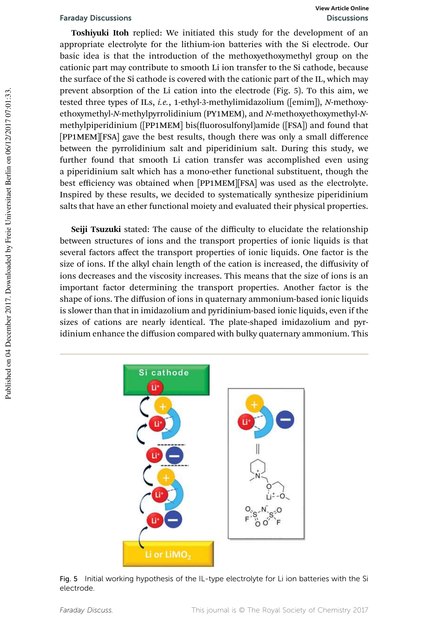Toshiyuki Itoh replied: We initiated this study for the development of an appropriate electrolyte for the lithium-ion batteries with the Si electrode. Our basic idea is that the introduction of the methoxyethoxymethyl group on the cationic part may contribute to smooth Li ion transfer to the Si cathode, because the surface of the Si cathode is covered with the cationic part of the IL, which may prevent absorption of the Li cation into the electrode (Fig. 5). To this aim, we tested three types of ILs, *i.e.*, 1-ethyl-3-methylimidazolium ([emim]), *N*-methoxyethoxymethyl-*N*-methylpyrrolidinium (PY1MEM), and *N*-methoxyethoxymethyl-*N*methylpiperidinium ([PP1MEM] bis(fluorosulfonyl)amide ([FSA]) and found that [PP1MEM][FSA] gave the best results, though there was only a small difference between the pyrrolidinium salt and piperidinium salt. During this study, we further found that smooth Li cation transfer was accomplished even using a piperidinium salt which has a mono-ether functional substituent, though the best efficiency was obtained when [PP1MEM][FSA] was used as the electrolyte. Inspired by these results, we decided to systematically synthesize piperidinium salts that have an ether functional moiety and evaluated their physical properties.

Seiji Tsuzuki stated: The cause of the difficulty to elucidate the relationship between structures of ions and the transport properties of ionic liquids is that several factors affect the transport properties of ionic liquids. One factor is the size of ions. If the alkyl chain length of the cation is increased, the diffusivity of ions decreases and the viscosity increases. This means that the size of ions is an important factor determining the transport properties. Another factor is the shape of ions. The diffusion of ions in quaternary ammonium-based ionic liquids is slower than that in imidazolium and pyridinium-based ionic liquids, even if the sizes of cations are nearly identical. The plate-shaped imidazolium and pyridinium enhance the diffusion compared with bulky quaternary ammonium. This



Fig. 5 Initial working hypothesis of the IL-type electrolyte for Li ion batteries with the Si electrode.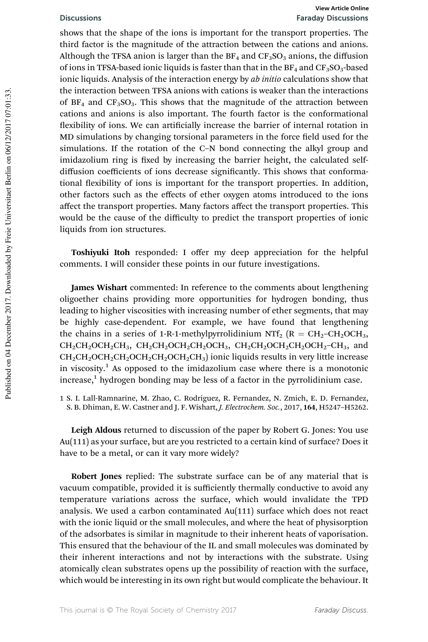### Discussions Faraday Discussions **View Article Online**

shows that the shape of the ions is important for the transport properties. The third factor is the magnitude of the attraction between the cations and anions. Although the TFSA anion is larger than the  $BF_4$  and  $CF_3SO_3$  anions, the diffusion of ions in TFSA-based ionic liquids is faster than that in the  $BF_4$  and  $CF_3SO_3$ -based ionic liquids. Analysis of the interaction energy by *ab initio* calculations show that the interaction between TFSA anions with cations is weaker than the interactions of  $BF_4$  and  $CF_3SO_3$ . This shows that the magnitude of the attraction between cations and anions is also important. The fourth factor is the conformational flexibility of ions. We can artificially increase the barrier of internal rotation in MD simulations by changing torsional parameters in the force field used for the simulations. If the rotation of the C–N bond connecting the alkyl group and imidazolium ring is fixed by increasing the barrier height, the calculated selfdiffusion coefficients of ions decrease significantly. This shows that conformational flexibility of ions is important for the transport properties. In addition, other factors such as the effects of ether oxygen atoms introduced to the ions affect the transport properties. Many factors affect the transport properties. This would be the cause of the difficulty to predict the transport properties of ionic liquids from ion structures.

Toshiyuki Itoh responded: I offer my deep appreciation for the helpful comments. I will consider these points in our future investigations.

James Wishart commented: In reference to the comments about lengthening oligoether chains providing more opportunities for hydrogen bonding, thus leading to higher viscosities with increasing number of ether segments, that may be highly case-dependent. For example, we have found that lengthening the chains in a series of 1-R-1-methylpyrrolidinium NTf<sub>2</sub> ( $R = CH_2-CH_2OCH_3$ ,  $CH_2CH_2OCH_2CH_3$ ,  $CH_2CH_2OCH_2CH_2OCH_3$ ,  $CH_2CH_2OCH_2CH_2OCH_2CH_3$ , and  $CH_2CH_2OCH_2CH_2OCH_2CH_2OCH_2CH_3$ ) ionic liquids results in very little increase in viscosity.<sup>1</sup> As opposed to the imidazolium case where there is a monotonic increase,<sup>1</sup> hydrogen bonding may be less of a factor in the pyrrolidinium case.

1 S. I. Lall-Ramnarine, M. Zhao, C. Rodriguez, R. Fernandez, N. Zmich, E. D. Fernandez, S. B. Dhiman, E. W. Castner and J. F. Wishart, *J. Electrochem. Soc.*, 2017, 164, H5247–H5262.

Leigh Aldous returned to discussion of the paper by Robert G. Jones: You use Au(111) as your surface, but are you restricted to a certain kind of surface? Does it have to be a metal, or can it vary more widely?

Robert Jones replied: The substrate surface can be of any material that is vacuum compatible, provided it is sufficiently thermally conductive to avoid any temperature variations across the surface, which would invalidate the TPD analysis. We used a carbon contaminated Au(111) surface which does not react with the ionic liquid or the small molecules, and where the heat of physisorption of the adsorbates is similar in magnitude to their inherent heats of vaporisation. This ensured that the behaviour of the IL and small molecules was dominated by their inherent interactions and not by interactions with the substrate. Using atomically clean substrates opens up the possibility of reaction with the surface, which would be interesting in its own right but would complicate the behaviour. It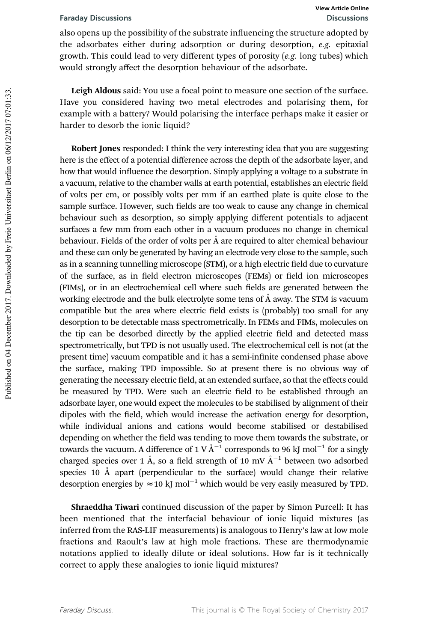also opens up the possibility of the substrate influencing the structure adopted by the adsorbates either during adsorption or during desorption, *e.g.* epitaxial growth. This could lead to very different types of porosity (*e.g.* long tubes) which would strongly affect the desorption behaviour of the adsorbate.

Leigh Aldous said: You use a focal point to measure one section of the surface. Have you considered having two metal electrodes and polarising them, for example with a battery? Would polarising the interface perhaps make it easier or harder to desorb the ionic liquid?

Robert Jones responded: I think the very interesting idea that you are suggesting here is the effect of a potential difference across the depth of the adsorbate layer, and how that would influence the desorption. Simply applying a voltage to a substrate in a vacuum, relative to the chamber walls at earth potential, establishes an electric field of volts per cm, or possibly volts per mm if an earthed plate is quite close to the sample surface. However, such fields are too weak to cause any change in chemical behaviour such as desorption, so simply applying different potentials to adjacent surfaces a few mm from each other in a vacuum produces no change in chemical behaviour. Fields of the order of volts per  $\AA$  are required to alter chemical behaviour and these can only be generated by having an electrode very close to the sample, such as in a scanning tunnelling microscope (STM), or a high electric field due to curvature of the surface, as in field electron microscopes (FEMs) or field ion microscopes (FIMs), or in an electrochemical cell where such fields are generated between the working electrode and the bulk electrolyte some tens of  $\AA$  away. The STM is vacuum compatible but the area where electric field exists is (probably) too small for any desorption to be detectable mass spectrometrically. In FEMs and FIMs, molecules on the tip can be desorbed directly by the applied electric field and detected mass spectrometrically, but TPD is not usually used. The electrochemical cell is not (at the present time) vacuum compatible and it has a semi-infinite condensed phase above the surface, making TPD impossible. So at present there is no obvious way of generating the necessary electric field, at an extended surface, so that the effects could be measured by TPD. Were such an electric field to be established through an adsorbate layer, one would expect the molecules to be stabilised by alignment of their dipoles with the field, which would increase the activation energy for desorption, while individual anions and cations would become stabilised or destabilised depending on whether the field was tending to move them towards the substrate, or towards the vacuum. A difference of 1 V  $\AA^{-1}$  corresponds to 96 kJ mol<sup>-1</sup> for a singly charged species over 1 Å, so a field strength of 10 mV  $\AA^{-1}$  between two adsorbed species 10  $\AA$  apart (perpendicular to the surface) would change their relative desorption energies by  $\approx 10 \text{ kJ} \text{ mol}^{-1}$  which would be very easily measured by TPD.

Shraeddha Tiwari continued discussion of the paper by Simon Purcell: It has been mentioned that the interfacial behaviour of ionic liquid mixtures (as inferred from the RAS-LIF measurements) is analogous to Henry's law at low mole fractions and Raoult's law at high mole fractions. These are thermodynamic notations applied to ideally dilute or ideal solutions. How far is it technically correct to apply these analogies to ionic liquid mixtures?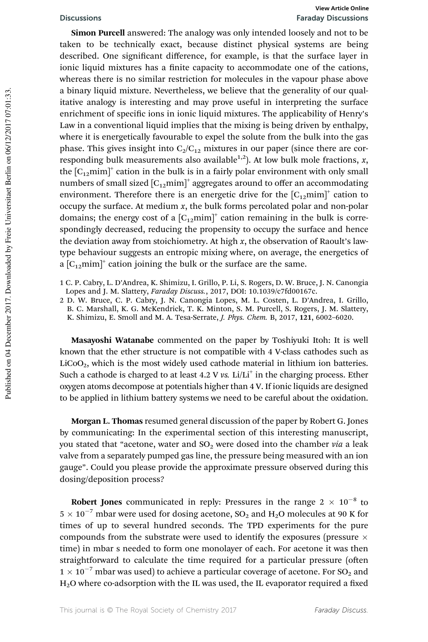### Discussions Faraday Discussions **View Article Online**

Simon Purcell answered: The analogy was only intended loosely and not to be taken to be technically exact, because distinct physical systems are being described. One significant difference, for example, is that the surface layer in ionic liquid mixtures has a finite capacity to accommodate one of the cations, whereas there is no similar restriction for molecules in the vapour phase above a binary liquid mixture. Nevertheless, we believe that the generality of our qualitative analogy is interesting and may prove useful in interpreting the surface enrichment of specific ions in ionic liquid mixtures. The applicability of Henry's Law in a conventional liquid implies that the mixing is being driven by enthalpy, where it is energetically favourable to expel the solute from the bulk into the gas phase. This gives insight into  $C_2/C_{12}$  mixtures in our paper (since there are corresponding bulk measurements also available<sup>1,2</sup>). At low bulk mole fractions, *x*, the  $[C_{12}mim]^{+}$  cation in the bulk is in a fairly polar environment with only small numbers of small sized  $\left[C_{12} \mathrm{mim}\right]^+$  aggregates around to offer an accommodating environment. Therefore there is an energetic drive for the  $[C_{12}mim]^{+}$  cation to occupy the surface. At medium *x*, the bulk forms percolated polar and non-polar domains; the energy cost of a  $[C_{12}min]^+$  cation remaining in the bulk is correspondingly decreased, reducing the propensity to occupy the surface and hence the deviation away from stoichiometry. At high *x*, the observation of Raoult's lawtype behaviour suggests an entropic mixing where, on average, the energetics of a  $[C_{12}$ mim]<sup>+</sup> cation joining the bulk or the surface are the same.

2 D. W. Bruce, C. P. Cabry, J. N. Canongia Lopes, M. L. Costen, L. D'Andrea, I. Grillo, B. C. Marshall, K. G. McKendrick, T. K. Minton, S. M. Purcell, S. Rogers, J. M. Slattery, K. Shimizu, E. Smoll and M. A. Tesa-Serrate, *J. Phys. Chem.* B, 2017, 121, 6002–6020.

Masayoshi Watanabe commented on the paper by Toshiyuki Itoh: It is well known that the ether structure is not compatible with 4 V-class cathodes such as  $LiCoO<sub>2</sub>$ , which is the most widely used cathode material in lithium ion batteries. Such a cathode is charged to at least 4.2 V vs. Li/Li<sup>+</sup> in the charging process. Ether oxygen atoms decompose at potentials higher than 4 V. If ionic liquids are designed to be applied in lithium battery systems we need to be careful about the oxidation.

Morgan L. Thomas resumed general discussion of the paper by Robert G. Jones by communicating: In the experimental section of this interesting manuscript, you stated that "acetone, water and  $SO_2$  were dosed into the chamber *via* a leak valve from a separately pumped gas line, the pressure being measured with an ion gauge". Could you please provide the approximate pressure observed during this dosing/deposition process?

Robert Jones communicated in reply: Pressures in the range  $2 \times 10^{-8}$  to  $5 \times 10^{-7}$  mbar were used for dosing acetone, SO<sub>2</sub> and H<sub>2</sub>O molecules at 90 K for times of up to several hundred seconds. The TPD experiments for the pure compounds from the substrate were used to identify the exposures (pressure  $\times$ time) in mbar s needed to form one monolayer of each. For acetone it was then straightforward to calculate the time required for a particular pressure (often  $1 \times 10^{-7}$  mbar was used) to achieve a particular coverage of acetone. For SO<sub>2</sub> and  $H<sub>2</sub>O$  where co-adsorption with the IL was used, the IL evaporator required a fixed

<sup>1</sup> C. P. Cabry, L. D'Andrea, K. Shimizu, I. Grillo, P. Li, S. Rogers, D. W. Bruce, J. N. Canongia Lopes and J. M. Slattery, *Faraday Discuss.*, 2017, DOI: 10.1039/c7fd00167c.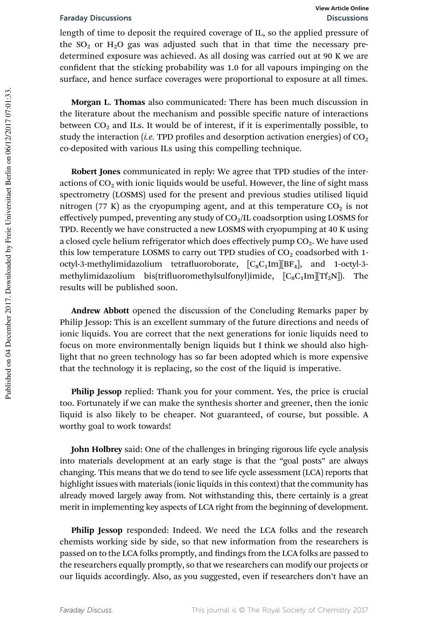length of time to deposit the required coverage of IL, so the applied pressure of the  $SO_2$  or  $H_2O$  gas was adjusted such that in that time the necessary predetermined exposure was achieved. As all dosing was carried out at 90 K we are confident that the sticking probability was 1.0 for all vapours impinging on the surface, and hence surface coverages were proportional to exposure at all times.

Morgan L. Thomas also communicated: There has been much discussion in the literature about the mechanism and possible specific nature of interactions between  $CO<sub>2</sub>$  and ILs. It would be of interest, if it is experimentally possible, to study the interaction (*i.e.* TPD profiles and desorption activation energies) of  $CO<sub>2</sub>$ co-deposited with various ILs using this compelling technique.

Robert Jones communicated in reply: We agree that TPD studies of the interactions of  $CO<sub>2</sub>$  with ionic liquids would be useful. However, the line of sight mass spectrometry (LOSMS) used for the present and previous studies utilised liquid nitrogen (77 K) as the cryopumping agent, and at this temperature  $CO<sub>2</sub>$  is not effectively pumped, preventing any study of  $CO<sub>2</sub>/IL$  coadsorption using LOSMS for TPD. Recently we have constructed a new LOSMS with cryopumping at 40 K using a closed cycle helium refrigerator which does effectively pump  $CO<sub>2</sub>$ . We have used this low temperature LOSMS to carry out TPD studies of  $CO<sub>2</sub>$  coadsorbed with 1octyl-3-methylimidazolium tetrafluoroborate,  $[C_8C_1Im][BF_4]$ , and 1-octyl-3methylimidazolium bis(trifluoromethylsulfonyl)imide,  $[C_8C_1Im][Tf_2N]$ . results will be published soon.

Andrew Abbott opened the discussion of the Concluding Remarks paper by Philip Jessop: This is an excellent summary of the future directions and needs of ionic liquids. You are correct that the next generations for ionic liquids need to focus on more environmentally benign liquids but I think we should also highlight that no green technology has so far been adopted which is more expensive that the technology it is replacing, so the cost of the liquid is imperative.

Philip Jessop replied: Thank you for your comment. Yes, the price is crucial too. Fortunately if we can make the synthesis shorter and greener, then the ionic liquid is also likely to be cheaper. Not guaranteed, of course, but possible. A worthy goal to work towards!

John Holbrey said: One of the challenges in bringing rigorous life cycle analysis into materials development at an early stage is that the "goal posts" are always changing. This means that we do tend to see life cycle assessment (LCA) reports that highlight issues with materials (ionic liquids in this context) that the community has already moved largely away from. Not withstanding this, there certainly is a great merit in implementing key aspects of LCA right from the beginning of development.

Philip Jessop responded: Indeed. We need the LCA folks and the research chemists working side by side, so that new information from the researchers is passed on to the LCA folks promptly, and findings from the LCA folks are passed to the researchers equally promptly, so that we researchers can modify our projects or our liquids accordingly. Also, as you suggested, even if researchers don't have an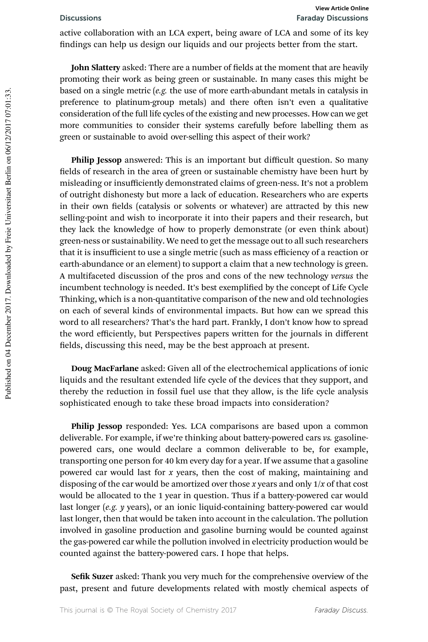active collaboration with an LCA expert, being aware of LCA and some of its key findings can help us design our liquids and our projects better from the start.

John Slattery asked: There are a number of fields at the moment that are heavily promoting their work as being green or sustainable. In many cases this might be based on a single metric (*e.g.* the use of more earth-abundant metals in catalysis in preference to platinum-group metals) and there often isn't even a qualitative consideration of the full life cycles of the existing and new processes. How can we get more communities to consider their systems carefully before labelling them as green or sustainable to avoid over-selling this aspect of their work?

Philip Jessop answered: This is an important but difficult question. So many fields of research in the area of green or sustainable chemistry have been hurt by misleading or insufficiently demonstrated claims of green-ness. It's not a problem of outright dishonesty but more a lack of education. Researchers who are experts in their own fields (catalysis or solvents or whatever) are attracted by this new selling-point and wish to incorporate it into their papers and their research, but they lack the knowledge of how to properly demonstrate (or even think about) green-ness or sustainability. We need to get the message out to all such researchers that it is insufficient to use a single metric (such as mass efficiency of a reaction or earth-abundance or an element) to support a claim that a new technology is green. A multifaceted discussion of the pros and cons of the new technology *versus* the incumbent technology is needed. It's best exemplified by the concept of Life Cycle Thinking, which is a non-quantitative comparison of the new and old technologies on each of several kinds of environmental impacts. But how can we spread this word to all researchers? That's the hard part. Frankly, I don't know how to spread the word efficiently, but Perspectives papers written for the journals in different fields, discussing this need, may be the best approach at present.

Doug MacFarlane asked: Given all of the electrochemical applications of ionic liquids and the resultant extended life cycle of the devices that they support, and thereby the reduction in fossil fuel use that they allow, is the life cycle analysis sophisticated enough to take these broad impacts into consideration?

Philip Jessop responded: Yes. LCA comparisons are based upon a common deliverable. For example, if we're thinking about battery-powered cars *vs.* gasolinepowered cars, one would declare a common deliverable to be, for example, transporting one person for 40 km every day for a year. If we assume that a gasoline powered car would last for *x* years, then the cost of making, maintaining and disposing of the car would be amortized over those *x* years and only 1/*x* of that cost would be allocated to the 1 year in question. Thus if a battery-powered car would last longer (*e.g. y* years), or an ionic liquid-containing battery-powered car would last longer, then that would be taken into account in the calculation. The pollution involved in gasoline production and gasoline burning would be counted against the gas-powered car while the pollution involved in electricity production would be counted against the battery-powered cars. I hope that helps.

Sefik Suzer asked: Thank you very much for the comprehensive overview of the past, present and future developments related with mostly chemical aspects of